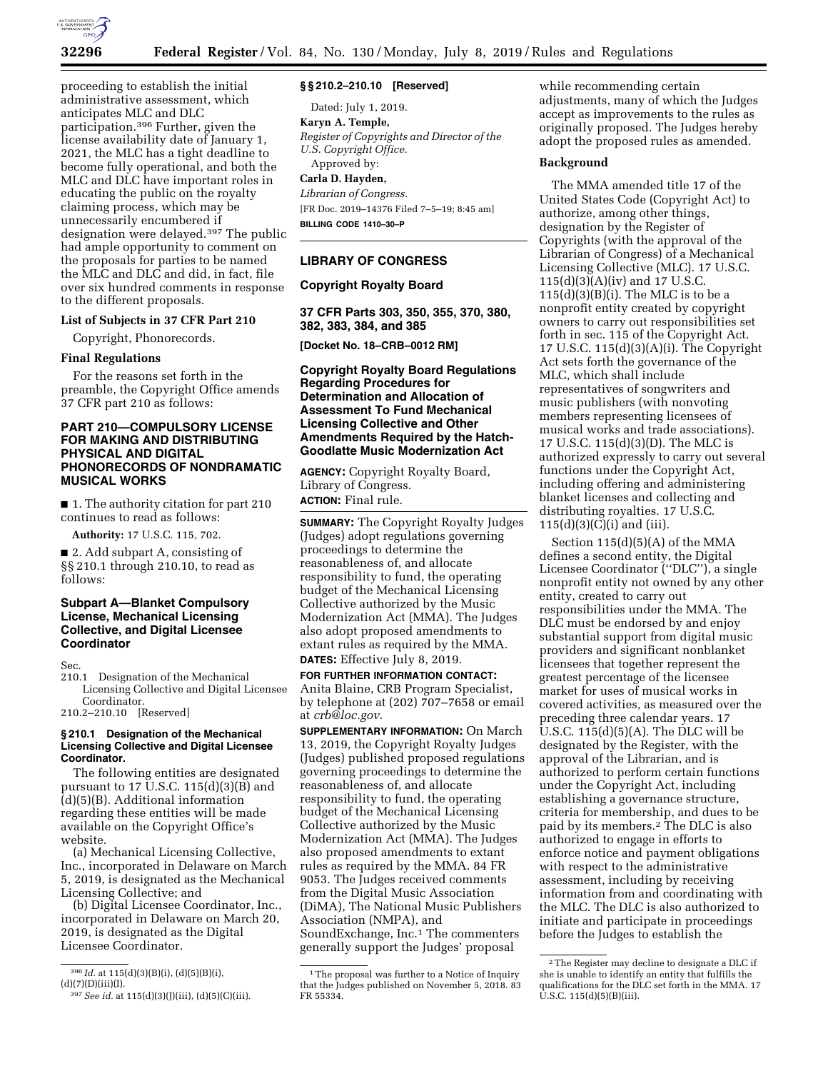

proceeding to establish the initial administrative assessment, which anticipates MLC and DLC participation.396 Further, given the license availability date of January 1, 2021, the MLC has a tight deadline to become fully operational, and both the MLC and DLC have important roles in educating the public on the royalty claiming process, which may be unnecessarily encumbered if designation were delayed.397 The public had ample opportunity to comment on the proposals for parties to be named the MLC and DLC and did, in fact, file over six hundred comments in response to the different proposals.

## **List of Subjects in 37 CFR Part 210**

Copyright, Phonorecords.

### **Final Regulations**

For the reasons set forth in the preamble, the Copyright Office amends 37 CFR part 210 as follows:

## **PART 210—COMPULSORY LICENSE FOR MAKING AND DISTRIBUTING PHYSICAL AND DIGITAL PHONORECORDS OF NONDRAMATIC MUSICAL WORKS**

■ 1. The authority citation for part 210 continues to read as follows:

**Authority:** 17 U.S.C. 115, 702.

■ 2. Add subpart A, consisting of §§ 210.1 through 210.10, to read as follows:

## **Subpart A—Blanket Compulsory License, Mechanical Licensing Collective, and Digital Licensee Coordinator**

Sec.

210.1 Designation of the Mechanical Licensing Collective and Digital Licensee Coordinator.

210.2–210.10 [Reserved]

### **§ 210.1 Designation of the Mechanical Licensing Collective and Digital Licensee Coordinator.**

The following entities are designated pursuant to 17 U.S.C.  $115(d)(3)(B)$  and (d)(5)(B). Additional information regarding these entities will be made available on the Copyright Office's website.

(a) Mechanical Licensing Collective, Inc., incorporated in Delaware on March 5, 2019, is designated as the Mechanical Licensing Collective; and

(b) Digital Licensee Coordinator, Inc., incorporated in Delaware on March 20, 2019, is designated as the Digital Licensee Coordinator.

## **§ § 210.2–210.10 [Reserved]**

Dated: July 1, 2019. **Karyn A. Temple,**  *Register of Copyrights and Director of the U.S. Copyright Office.*  Approved by: **Carla D. Hayden,**  *Librarian of Congress.* 

[FR Doc. 2019–14376 Filed 7–5–19; 8:45 am] **BILLING CODE 1410–30–P** 

## **LIBRARY OF CONGRESS**

## **Copyright Royalty Board**

**37 CFR Parts 303, 350, 355, 370, 380, 382, 383, 384, and 385** 

**[Docket No. 18–CRB–0012 RM]** 

**Copyright Royalty Board Regulations Regarding Procedures for Determination and Allocation of Assessment To Fund Mechanical Licensing Collective and Other Amendments Required by the Hatch-Goodlatte Music Modernization Act** 

**AGENCY:** Copyright Royalty Board, Library of Congress. **ACTION:** Final rule.

**SUMMARY:** The Copyright Royalty Judges (Judges) adopt regulations governing proceedings to determine the reasonableness of, and allocate responsibility to fund, the operating budget of the Mechanical Licensing Collective authorized by the Music Modernization Act (MMA). The Judges also adopt proposed amendments to extant rules as required by the MMA. **DATES:** Effective July 8, 2019.

**FOR FURTHER INFORMATION CONTACT:**  Anita Blaine, CRB Program Specialist, by telephone at (202) 707–7658 or email at *[crb@loc.gov](mailto:crb@loc.gov)*.

**SUPPLEMENTARY INFORMATION:** On March 13, 2019, the Copyright Royalty Judges (Judges) published proposed regulations governing proceedings to determine the reasonableness of, and allocate responsibility to fund, the operating budget of the Mechanical Licensing Collective authorized by the Music Modernization Act (MMA). The Judges also proposed amendments to extant rules as required by the MMA. 84 FR 9053. The Judges received comments from the Digital Music Association (DiMA), The National Music Publishers Association (NMPA), and SoundExchange, Inc.<sup>1</sup> The commenters generally support the Judges' proposal

while recommending certain adjustments, many of which the Judges accept as improvements to the rules as originally proposed. The Judges hereby adopt the proposed rules as amended.

## **Background**

The MMA amended title 17 of the United States Code (Copyright Act) to authorize, among other things, designation by the Register of Copyrights (with the approval of the Librarian of Congress) of a Mechanical Licensing Collective (MLC). 17 U.S.C. 115(d)(3)(A)(iv) and 17 U.S.C.  $115(d)(3)(B)(i)$ . The MLC is to be a nonprofit entity created by copyright owners to carry out responsibilities set forth in sec. 115 of the Copyright Act. 17 U.S.C. 115(d)(3)(A)(i). The Copyright Act sets forth the governance of the MLC, which shall include representatives of songwriters and music publishers (with nonvoting members representing licensees of musical works and trade associations). 17 U.S.C. 115(d)(3)(D). The MLC is authorized expressly to carry out several functions under the Copyright Act, including offering and administering blanket licenses and collecting and distributing royalties. 17 U.S.C.  $115(d)(3)(C)(i)$  and (iii).

Section 115(d)(5)(A) of the MMA defines a second entity, the Digital Licensee Coordinator (''DLC''), a single nonprofit entity not owned by any other entity, created to carry out responsibilities under the MMA. The DLC must be endorsed by and enjoy substantial support from digital music providers and significant nonblanket licensees that together represent the greatest percentage of the licensee market for uses of musical works in covered activities, as measured over the preceding three calendar years. 17 U.S.C. 115(d)(5)(A). The DLC will be designated by the Register, with the approval of the Librarian, and is authorized to perform certain functions under the Copyright Act, including establishing a governance structure, criteria for membership, and dues to be paid by its members.2 The DLC is also authorized to engage in efforts to enforce notice and payment obligations with respect to the administrative assessment, including by receiving information from and coordinating with the MLC. The DLC is also authorized to initiate and participate in proceedings before the Judges to establish the

<sup>396</sup> *Id.* at 115(d)(3)(B)(i), (d)(5)(B)(i),  $(d)(7)(D)(iii)(I).$ 

<sup>397</sup>*See id.* at 115(d)(3)(J)(iii), (d)(5)(C)(iii).

<sup>&</sup>lt;sup>1</sup>The proposal was further to a Notice of Inquiry that the Judges published on November 5, 2018. 83 FR 55334.

<sup>2</sup>The Register may decline to designate a DLC if she is unable to identify an entity that fulfills the qualifications for the DLC set forth in the MMA. 17  $\hat{U}$ .S.C. 115(d)(5)(B)(iii).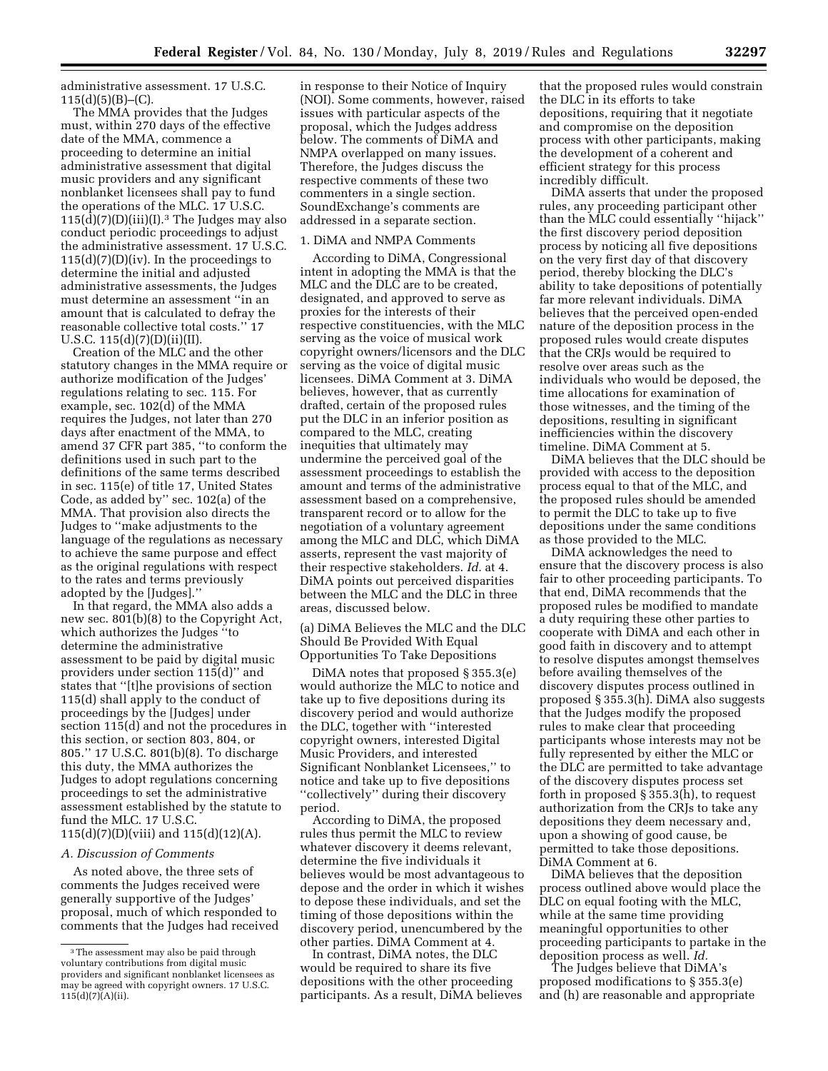administrative assessment. 17 U.S.C.  $115(d)(5)(B)$ – $(C)$ .

The MMA provides that the Judges must, within 270 days of the effective date of the MMA, commence a proceeding to determine an initial administrative assessment that digital music providers and any significant nonblanket licensees shall pay to fund the operations of the MLC. 17 U.S.C.  $115(d)(7)(D)(iii)(I).<sup>3</sup>$  The Judges may also conduct periodic proceedings to adjust the administrative assessment. 17 U.S.C.  $115(d)(7)(D)(iv)$ . In the proceedings to determine the initial and adjusted administrative assessments, the Judges must determine an assessment ''in an amount that is calculated to defray the reasonable collective total costs.'' 17 U.S.C.  $115(d)(7)(D)(ii)(II)$ .

Creation of the MLC and the other statutory changes in the MMA require or authorize modification of the Judges' regulations relating to sec. 115. For example, sec. 102(d) of the MMA requires the Judges, not later than 270 days after enactment of the MMA, to amend 37 CFR part 385, ''to conform the definitions used in such part to the definitions of the same terms described in sec. 115(e) of title 17, United States Code, as added by'' sec. 102(a) of the MMA. That provision also directs the Judges to ''make adjustments to the language of the regulations as necessary to achieve the same purpose and effect as the original regulations with respect to the rates and terms previously adopted by the [Judges].''

In that regard, the MMA also adds a new sec. 801(b)(8) to the Copyright Act, which authorizes the Judges ''to determine the administrative assessment to be paid by digital music providers under section 115(d)'' and states that ''[t]he provisions of section 115(d) shall apply to the conduct of proceedings by the [Judges] under section 115(d) and not the procedures in this section, or section 803, 804, or 805.'' 17 U.S.C. 801(b)(8). To discharge this duty, the MMA authorizes the Judges to adopt regulations concerning proceedings to set the administrative assessment established by the statute to fund the MLC. 17 U.S.C.  $115(d)(7)(D)(viii)$  and  $115(d)(12)(A)$ .

### *A. Discussion of Comments*

As noted above, the three sets of comments the Judges received were generally supportive of the Judges' proposal, much of which responded to comments that the Judges had received

in response to their Notice of Inquiry (NOI). Some comments, however, raised issues with particular aspects of the proposal, which the Judges address below. The comments of DiMA and NMPA overlapped on many issues. Therefore, the Judges discuss the respective comments of these two commenters in a single section. SoundExchange's comments are addressed in a separate section.

### 1. DiMA and NMPA Comments

According to DiMA, Congressional intent in adopting the MMA is that the MLC and the DLC are to be created, designated, and approved to serve as proxies for the interests of their respective constituencies, with the MLC serving as the voice of musical work copyright owners/licensors and the DLC serving as the voice of digital music licensees. DiMA Comment at 3. DiMA believes, however, that as currently drafted, certain of the proposed rules put the DLC in an inferior position as compared to the MLC, creating inequities that ultimately may undermine the perceived goal of the assessment proceedings to establish the amount and terms of the administrative assessment based on a comprehensive, transparent record or to allow for the negotiation of a voluntary agreement among the MLC and DLC, which DiMA asserts, represent the vast majority of their respective stakeholders. *Id.* at 4. DiMA points out perceived disparities between the MLC and the DLC in three areas, discussed below.

(a) DiMA Believes the MLC and the DLC Should Be Provided With Equal Opportunities To Take Depositions

DiMA notes that proposed § 355.3(e) would authorize the MLC to notice and take up to five depositions during its discovery period and would authorize the DLC, together with ''interested copyright owners, interested Digital Music Providers, and interested Significant Nonblanket Licensees,'' to notice and take up to five depositions ''collectively'' during their discovery period.

According to DiMA, the proposed rules thus permit the MLC to review whatever discovery it deems relevant, determine the five individuals it believes would be most advantageous to depose and the order in which it wishes to depose these individuals, and set the timing of those depositions within the discovery period, unencumbered by the other parties. DiMA Comment at 4.

In contrast, DiMA notes, the DLC would be required to share its five depositions with the other proceeding participants. As a result, DiMA believes

that the proposed rules would constrain the DLC in its efforts to take depositions, requiring that it negotiate and compromise on the deposition process with other participants, making the development of a coherent and efficient strategy for this process incredibly difficult.

DiMA asserts that under the proposed rules, any proceeding participant other than the MLC could essentially ''hijack'' the first discovery period deposition process by noticing all five depositions on the very first day of that discovery period, thereby blocking the DLC's ability to take depositions of potentially far more relevant individuals. DiMA believes that the perceived open-ended nature of the deposition process in the proposed rules would create disputes that the CRJs would be required to resolve over areas such as the individuals who would be deposed, the time allocations for examination of those witnesses, and the timing of the depositions, resulting in significant inefficiencies within the discovery timeline. DiMA Comment at 5.

DiMA believes that the DLC should be provided with access to the deposition process equal to that of the MLC, and the proposed rules should be amended to permit the DLC to take up to five depositions under the same conditions as those provided to the MLC.

DiMA acknowledges the need to ensure that the discovery process is also fair to other proceeding participants. To that end, DiMA recommends that the proposed rules be modified to mandate a duty requiring these other parties to cooperate with DiMA and each other in good faith in discovery and to attempt to resolve disputes amongst themselves before availing themselves of the discovery disputes process outlined in proposed § 355.3(h). DiMA also suggests that the Judges modify the proposed rules to make clear that proceeding participants whose interests may not be fully represented by either the MLC or the DLC are permitted to take advantage of the discovery disputes process set forth in proposed § 355.3(h), to request authorization from the CRJs to take any depositions they deem necessary and, upon a showing of good cause, be permitted to take those depositions. DiMA Comment at 6.

DiMA believes that the deposition process outlined above would place the DLC on equal footing with the MLC, while at the same time providing meaningful opportunities to other proceeding participants to partake in the deposition process as well. *Id.* 

The Judges believe that DiMA's proposed modifications to § 355.3(e) and (h) are reasonable and appropriate

<sup>3</sup>The assessment may also be paid through voluntary contributions from digital music providers and significant nonblanket licensees as may be agreed with copyright owners. 17 U.S.C.  $115(d)(7)(A)(ii)$ .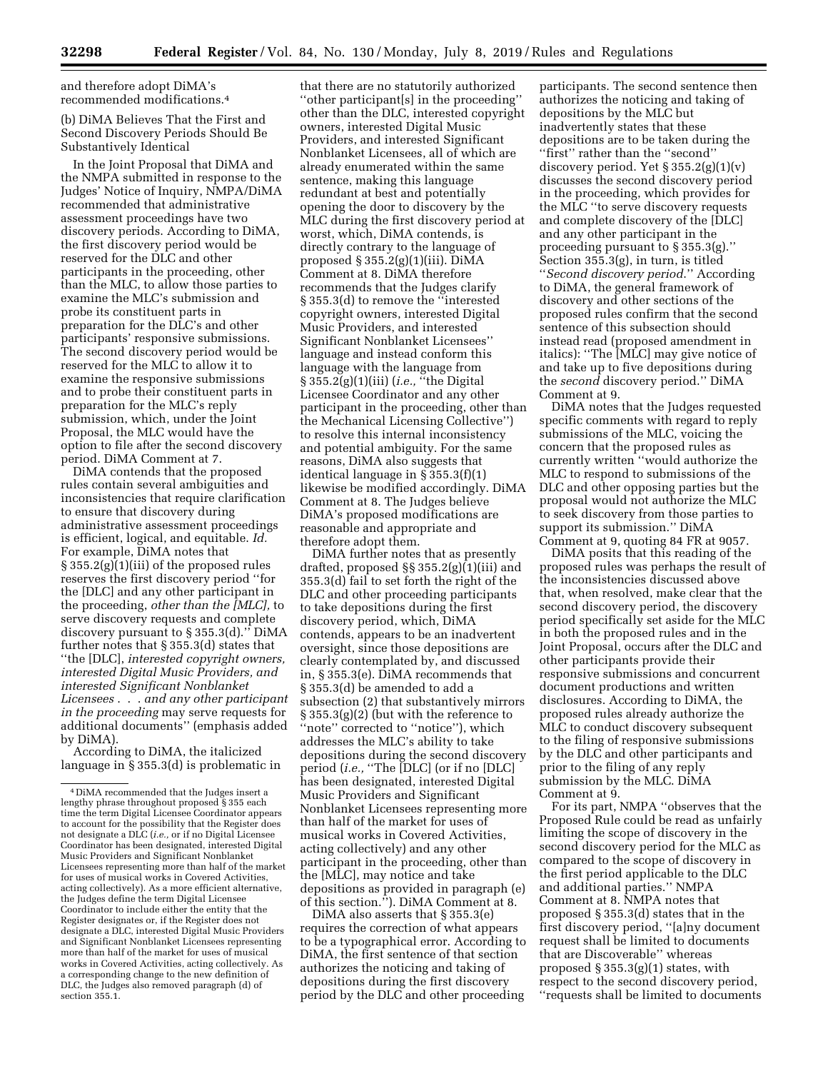and therefore adopt DiMA's recommended modifications.4

(b) DiMA Believes That the First and Second Discovery Periods Should Be Substantively Identical

In the Joint Proposal that DiMA and the NMPA submitted in response to the Judges' Notice of Inquiry, NMPA/DiMA recommended that administrative assessment proceedings have two discovery periods. According to DiMA, the first discovery period would be reserved for the DLC and other participants in the proceeding, other than the MLC, to allow those parties to examine the MLC's submission and probe its constituent parts in preparation for the DLC's and other participants' responsive submissions. The second discovery period would be reserved for the MLC to allow it to examine the responsive submissions and to probe their constituent parts in preparation for the MLC's reply submission, which, under the Joint Proposal, the MLC would have the option to file after the second discovery period. DiMA Comment at 7.

DiMA contends that the proposed rules contain several ambiguities and inconsistencies that require clarification to ensure that discovery during administrative assessment proceedings is efficient, logical, and equitable. *Id.*  For example, DiMA notes that § 355.2(g)(1)(iii) of the proposed rules reserves the first discovery period ''for the [DLC] and any other participant in the proceeding, *other than the [MLC],* to serve discovery requests and complete discovery pursuant to § 355.3(d).'' DiMA further notes that § 355.3(d) states that ''the [DLC], *interested copyright owners, interested Digital Music Providers, and interested Significant Nonblanket Licensees* . . . *and any other participant in the proceeding* may serve requests for additional documents'' (emphasis added by DiMA).

According to DiMA, the italicized language in § 355.3(d) is problematic in

that there are no statutorily authorized ''other participant[s] in the proceeding'' other than the DLC, interested copyright owners, interested Digital Music Providers, and interested Significant Nonblanket Licensees, all of which are already enumerated within the same sentence, making this language redundant at best and potentially opening the door to discovery by the MLC during the first discovery period at worst, which, DiMA contends, is directly contrary to the language of proposed  $\S 355.2(g)(1)(iii)$ . DiMA Comment at 8. DiMA therefore recommends that the Judges clarify § 355.3(d) to remove the ''interested copyright owners, interested Digital Music Providers, and interested Significant Nonblanket Licensees'' language and instead conform this language with the language from § 355.2(g)(1)(iii) (*i.e.,* ''the Digital Licensee Coordinator and any other participant in the proceeding, other than the Mechanical Licensing Collective'') to resolve this internal inconsistency and potential ambiguity. For the same reasons, DiMA also suggests that identical language in § 355.3(f)(1) likewise be modified accordingly. DiMA Comment at 8. The Judges believe DiMA's proposed modifications are reasonable and appropriate and therefore adopt them.

DiMA further notes that as presently drafted, proposed §§ 355.2(g)(1)(iii) and 355.3(d) fail to set forth the right of the DLC and other proceeding participants to take depositions during the first discovery period, which, DiMA contends, appears to be an inadvertent oversight, since those depositions are clearly contemplated by, and discussed in, § 355.3(e). DiMA recommends that § 355.3(d) be amended to add a subsection (2) that substantively mirrors § 355.3(g)(2) (but with the reference to "note" corrected to "notice"), which addresses the MLC's ability to take depositions during the second discovery period (*i.e.,* ''The [DLC] (or if no [DLC] has been designated, interested Digital Music Providers and Significant Nonblanket Licensees representing more than half of the market for uses of musical works in Covered Activities, acting collectively) and any other participant in the proceeding, other than the [MLC], may notice and take depositions as provided in paragraph (e) of this section.''). DiMA Comment at 8.

DiMA also asserts that § 355.3(e) requires the correction of what appears to be a typographical error. According to DiMA, the first sentence of that section authorizes the noticing and taking of depositions during the first discovery period by the DLC and other proceeding

participants. The second sentence then authorizes the noticing and taking of depositions by the MLC but inadvertently states that these depositions are to be taken during the ''first'' rather than the ''second'' discovery period. Yet  $\S 355.2(g)(1)(v)$ discusses the second discovery period in the proceeding, which provides for the MLC ''to serve discovery requests and complete discovery of the [DLC] and any other participant in the proceeding pursuant to § 355.3(g).'' Section 355.3(g), in turn, is titled ''*Second discovery period*.'' According to DiMA, the general framework of discovery and other sections of the proposed rules confirm that the second sentence of this subsection should instead read (proposed amendment in italics): ''The [MLC] may give notice of and take up to five depositions during the *second* discovery period.'' DiMA Comment at 9.

DiMA notes that the Judges requested specific comments with regard to reply submissions of the MLC, voicing the concern that the proposed rules as currently written ''would authorize the MLC to respond to submissions of the DLC and other opposing parties but the proposal would not authorize the MLC to seek discovery from those parties to support its submission.'' DiMA Comment at 9, quoting 84 FR at 9057.

DiMA posits that this reading of the proposed rules was perhaps the result of the inconsistencies discussed above that, when resolved, make clear that the second discovery period, the discovery period specifically set aside for the MLC in both the proposed rules and in the Joint Proposal, occurs after the DLC and other participants provide their responsive submissions and concurrent document productions and written disclosures. According to DiMA, the proposed rules already authorize the MLC to conduct discovery subsequent to the filing of responsive submissions by the DLC and other participants and prior to the filing of any reply submission by the MLC. DiMA Comment at 9.

For its part, NMPA ''observes that the Proposed Rule could be read as unfairly limiting the scope of discovery in the second discovery period for the MLC as compared to the scope of discovery in the first period applicable to the DLC and additional parties.'' NMPA Comment at 8. NMPA notes that proposed § 355.3(d) states that in the first discovery period, ''[a]ny document request shall be limited to documents that are Discoverable'' whereas proposed § 355.3(g)(1) states, with respect to the second discovery period, ''requests shall be limited to documents

<sup>4</sup> DiMA recommended that the Judges insert a lengthy phrase throughout proposed § 355 each time the term Digital Licensee Coordinator appears to account for the possibility that the Register does not designate a DLC (*i.e.,* or if no Digital Licensee Coordinator has been designated, interested Digital Music Providers and Significant Nonblanket Licensees representing more than half of the market for uses of musical works in Covered Activities, acting collectively). As a more efficient alternative, the Judges define the term Digital Licensee Coordinator to include either the entity that the Register designates or, if the Register does not designate a DLC, interested Digital Music Providers and Significant Nonblanket Licensees representing more than half of the market for uses of musical works in Covered Activities, acting collectively. As a corresponding change to the new definition of DLC, the Judges also removed paragraph (d) of section 355.1.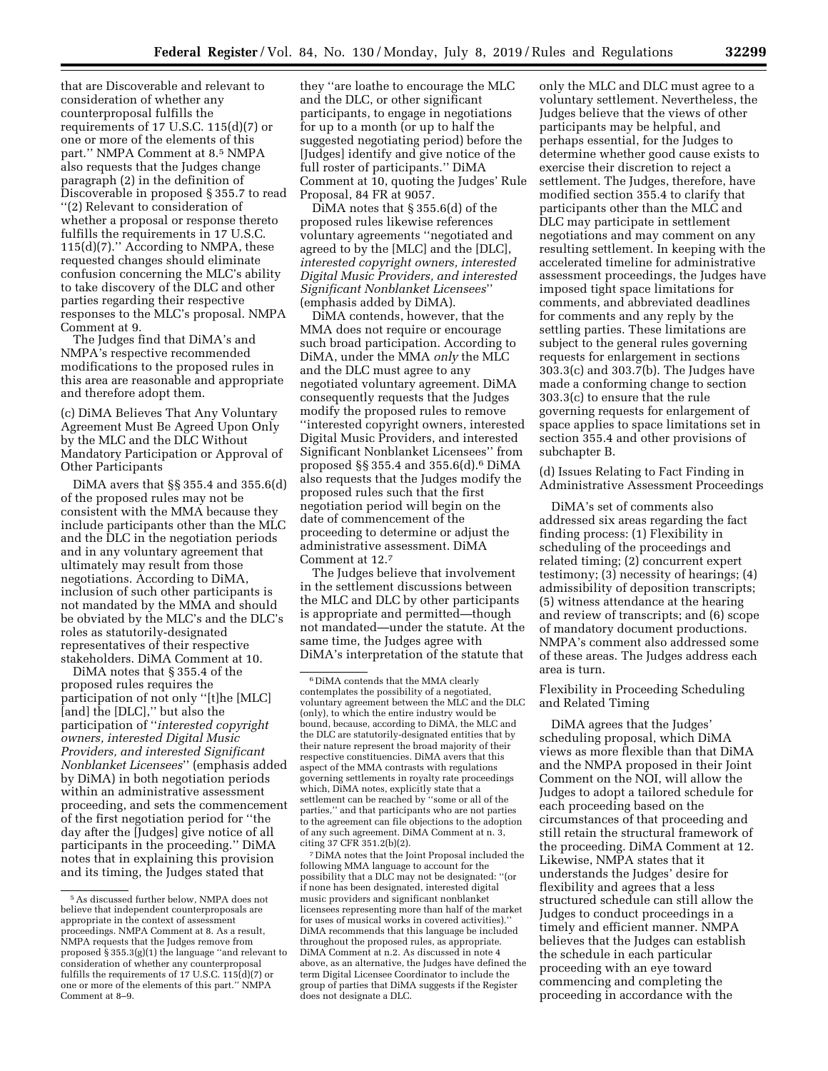that are Discoverable and relevant to consideration of whether any counterproposal fulfills the requirements of 17 U.S.C. 115(d)(7) or one or more of the elements of this part.'' NMPA Comment at 8.5 NMPA also requests that the Judges change paragraph (2) in the definition of Discoverable in proposed § 355.7 to read ''(2) Relevant to consideration of whether a proposal or response thereto fulfills the requirements in 17 U.S.C. 115(d)(7).'' According to NMPA, these requested changes should eliminate confusion concerning the MLC's ability to take discovery of the DLC and other parties regarding their respective responses to the MLC's proposal. NMPA Comment at 9.

The Judges find that DiMA's and NMPA's respective recommended modifications to the proposed rules in this area are reasonable and appropriate and therefore adopt them.

(c) DiMA Believes That Any Voluntary Agreement Must Be Agreed Upon Only by the MLC and the DLC Without Mandatory Participation or Approval of Other Participants

DiMA avers that §§ 355.4 and 355.6(d) of the proposed rules may not be consistent with the MMA because they include participants other than the MLC and the DLC in the negotiation periods and in any voluntary agreement that ultimately may result from those negotiations. According to DiMA, inclusion of such other participants is not mandated by the MMA and should be obviated by the MLC's and the DLC's roles as statutorily-designated representatives of their respective stakeholders. DiMA Comment at 10.

DiMA notes that § 355.4 of the proposed rules requires the participation of not only ''[t]he [MLC] [and] the [DLC],'' but also the participation of ''*interested copyright owners, interested Digital Music Providers, and interested Significant Nonblanket Licensees*'' (emphasis added by DiMA) in both negotiation periods within an administrative assessment proceeding, and sets the commencement of the first negotiation period for ''the day after the [Judges] give notice of all participants in the proceeding.'' DiMA notes that in explaining this provision and its timing, the Judges stated that

they ''are loathe to encourage the MLC and the DLC, or other significant participants, to engage in negotiations for up to a month (or up to half the suggested negotiating period) before the [Judges] identify and give notice of the full roster of participants.'' DiMA Comment at 10, quoting the Judges' Rule Proposal, 84 FR at 9057.

DiMA notes that § 355.6(d) of the proposed rules likewise references voluntary agreements ''negotiated and agreed to by the [MLC] and the [DLC], *interested copyright owners, interested Digital Music Providers, and interested Significant Nonblanket Licensees*'' (emphasis added by DiMA).

DiMA contends, however, that the MMA does not require or encourage such broad participation. According to DiMA, under the MMA *only* the MLC and the DLC must agree to any negotiated voluntary agreement. DiMA consequently requests that the Judges modify the proposed rules to remove ''interested copyright owners, interested Digital Music Providers, and interested Significant Nonblanket Licensees'' from proposed  $\S$  355.4 and 355.6(d).<sup>6</sup> DiMA also requests that the Judges modify the proposed rules such that the first negotiation period will begin on the date of commencement of the proceeding to determine or adjust the administrative assessment. DiMA Comment at 12.7

The Judges believe that involvement in the settlement discussions between the MLC and DLC by other participants is appropriate and permitted—though not mandated—under the statute. At the same time, the Judges agree with DiMA's interpretation of the statute that

7 DiMA notes that the Joint Proposal included the following MMA language to account for the possibility that a DLC may not be designated: ''(or if none has been designated, interested digital music providers and significant nonblanket licensees representing more than half of the market for uses of musical works in covered activities). DiMA recommends that this language be included throughout the proposed rules, as appropriate. DiMA Comment at n.2. As discussed in note 4 above, as an alternative, the Judges have defined the term Digital Licensee Coordinator to include the group of parties that DiMA suggests if the Register does not designate a DLC.

only the MLC and DLC must agree to a voluntary settlement. Nevertheless, the Judges believe that the views of other participants may be helpful, and perhaps essential, for the Judges to determine whether good cause exists to exercise their discretion to reject a settlement. The Judges, therefore, have modified section 355.4 to clarify that participants other than the MLC and DLC may participate in settlement negotiations and may comment on any resulting settlement. In keeping with the accelerated timeline for administrative assessment proceedings, the Judges have imposed tight space limitations for comments, and abbreviated deadlines for comments and any reply by the settling parties. These limitations are subject to the general rules governing requests for enlargement in sections 303.3(c) and 303.7(b). The Judges have made a conforming change to section 303.3(c) to ensure that the rule governing requests for enlargement of space applies to space limitations set in section 355.4 and other provisions of subchapter B.

(d) Issues Relating to Fact Finding in Administrative Assessment Proceedings

DiMA's set of comments also addressed six areas regarding the fact finding process: (1) Flexibility in scheduling of the proceedings and related timing; (2) concurrent expert testimony; (3) necessity of hearings; (4) admissibility of deposition transcripts; (5) witness attendance at the hearing and review of transcripts; and (6) scope of mandatory document productions. NMPA's comment also addressed some of these areas. The Judges address each area is turn.

Flexibility in Proceeding Scheduling and Related Timing

DiMA agrees that the Judges' scheduling proposal, which DiMA views as more flexible than that DiMA and the NMPA proposed in their Joint Comment on the NOI, will allow the Judges to adopt a tailored schedule for each proceeding based on the circumstances of that proceeding and still retain the structural framework of the proceeding. DiMA Comment at 12. Likewise, NMPA states that it understands the Judges' desire for flexibility and agrees that a less structured schedule can still allow the Judges to conduct proceedings in a timely and efficient manner. NMPA believes that the Judges can establish the schedule in each particular proceeding with an eye toward commencing and completing the proceeding in accordance with the

<sup>5</sup>As discussed further below, NMPA does not believe that independent counterproposals are appropriate in the context of assessment proceedings. NMPA Comment at 8. As a result, NMPA requests that the Judges remove from proposed  $\S 355.3(g)(1)$  the language "and relevant to consideration of whether any counterproposal fulfills the requirements of  $17$  U.S.C.  $115(d)(7)$  or one or more of the elements of this part.'' NMPA Comment at 8–9.

<sup>6</sup> DiMA contends that the MMA clearly contemplates the possibility of a negotiated, voluntary agreement between the MLC and the DLC (only), to which the entire industry would be bound, because, according to DiMA, the MLC and the DLC are statutorily-designated entities that by their nature represent the broad majority of their respective constituencies. DiMA avers that this aspect of the MMA contrasts with regulations governing settlements in royalty rate proceedings which, DiMA notes, explicitly state that a settlement can be reached by ''some or all of the parties,'' and that participants who are not parties to the agreement can file objections to the adoption of any such agreement. DiMA Comment at n. 3, citing 37 CFR 351.2(b)(2).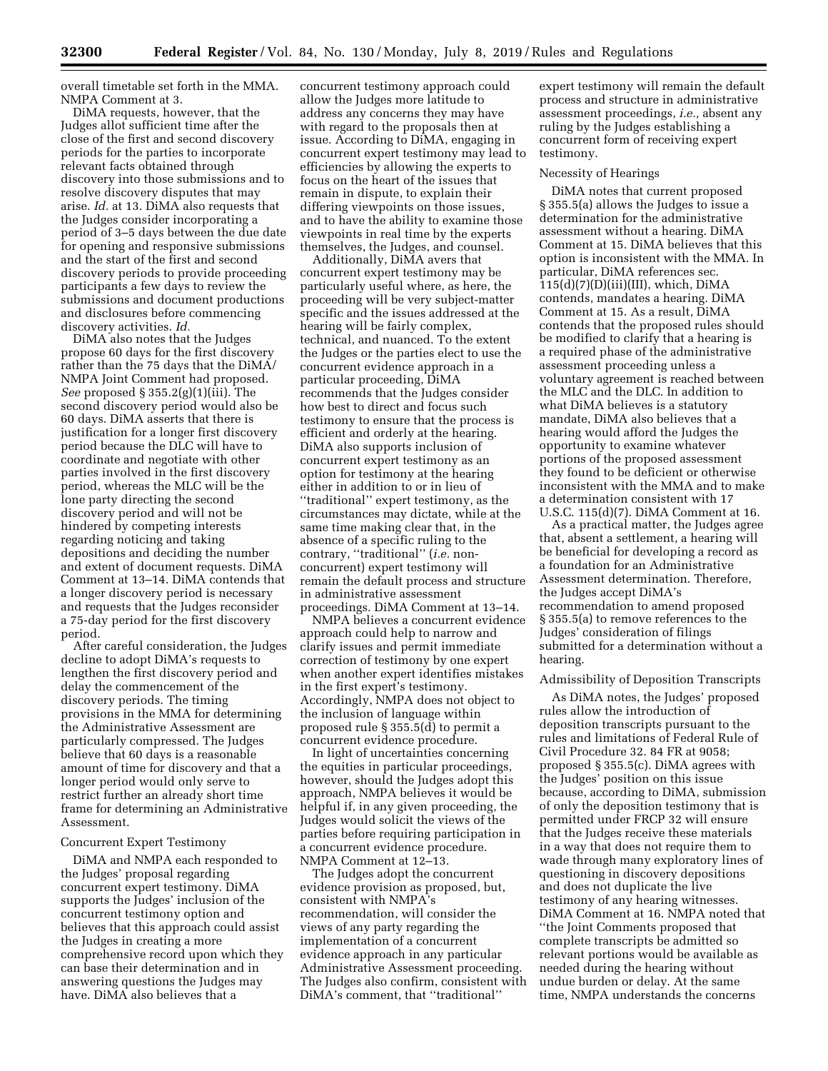overall timetable set forth in the MMA. NMPA Comment at 3.

DiMA requests, however, that the Judges allot sufficient time after the close of the first and second discovery periods for the parties to incorporate relevant facts obtained through discovery into those submissions and to resolve discovery disputes that may arise. *Id.* at 13. DiMA also requests that the Judges consider incorporating a period of 3–5 days between the due date for opening and responsive submissions and the start of the first and second discovery periods to provide proceeding participants a few days to review the submissions and document productions and disclosures before commencing discovery activities. *Id.* 

DiMA also notes that the Judges propose 60 days for the first discovery rather than the 75 days that the DiMA/ NMPA Joint Comment had proposed. *See* proposed § 355.2(g)(1)(iii). The second discovery period would also be 60 days. DiMA asserts that there is justification for a longer first discovery period because the DLC will have to coordinate and negotiate with other parties involved in the first discovery period, whereas the MLC will be the lone party directing the second discovery period and will not be hindered by competing interests regarding noticing and taking depositions and deciding the number and extent of document requests. DiMA Comment at 13–14. DiMA contends that a longer discovery period is necessary and requests that the Judges reconsider a 75-day period for the first discovery period.

After careful consideration, the Judges decline to adopt DiMA's requests to lengthen the first discovery period and delay the commencement of the discovery periods. The timing provisions in the MMA for determining the Administrative Assessment are particularly compressed. The Judges believe that 60 days is a reasonable amount of time for discovery and that a longer period would only serve to restrict further an already short time frame for determining an Administrative Assessment.

### Concurrent Expert Testimony

DiMA and NMPA each responded to the Judges' proposal regarding concurrent expert testimony. DiMA supports the Judges' inclusion of the concurrent testimony option and believes that this approach could assist the Judges in creating a more comprehensive record upon which they can base their determination and in answering questions the Judges may have. DiMA also believes that a

concurrent testimony approach could allow the Judges more latitude to address any concerns they may have with regard to the proposals then at issue. According to DiMA, engaging in concurrent expert testimony may lead to efficiencies by allowing the experts to focus on the heart of the issues that remain in dispute, to explain their differing viewpoints on those issues, and to have the ability to examine those viewpoints in real time by the experts themselves, the Judges, and counsel.

Additionally, DiMA avers that concurrent expert testimony may be particularly useful where, as here, the proceeding will be very subject-matter specific and the issues addressed at the hearing will be fairly complex, technical, and nuanced. To the extent the Judges or the parties elect to use the concurrent evidence approach in a particular proceeding, DiMA recommends that the Judges consider how best to direct and focus such testimony to ensure that the process is efficient and orderly at the hearing. DiMA also supports inclusion of concurrent expert testimony as an option for testimony at the hearing either in addition to or in lieu of ''traditional'' expert testimony, as the circumstances may dictate, while at the same time making clear that, in the absence of a specific ruling to the contrary, ''traditional'' (*i.e.* nonconcurrent) expert testimony will remain the default process and structure in administrative assessment proceedings. DiMA Comment at 13–14.

NMPA believes a concurrent evidence approach could help to narrow and clarify issues and permit immediate correction of testimony by one expert when another expert identifies mistakes in the first expert's testimony. Accordingly, NMPA does not object to the inclusion of language within proposed rule § 355.5(d) to permit a concurrent evidence procedure.

In light of uncertainties concerning the equities in particular proceedings, however, should the Judges adopt this approach, NMPA believes it would be helpful if, in any given proceeding, the Judges would solicit the views of the parties before requiring participation in a concurrent evidence procedure. NMPA Comment at 12–13.

The Judges adopt the concurrent evidence provision as proposed, but, consistent with NMPA's recommendation, will consider the views of any party regarding the implementation of a concurrent evidence approach in any particular Administrative Assessment proceeding. The Judges also confirm, consistent with DiMA's comment, that ''traditional''

expert testimony will remain the default process and structure in administrative assessment proceedings, *i.e.,* absent any ruling by the Judges establishing a concurrent form of receiving expert testimony.

### Necessity of Hearings

DiMA notes that current proposed § 355.5(a) allows the Judges to issue a determination for the administrative assessment without a hearing. DiMA Comment at 15. DiMA believes that this option is inconsistent with the MMA. In particular, DiMA references sec.  $115(d)(7)(D)(iii)(III)$ , which, DiMA contends, mandates a hearing. DiMA Comment at 15. As a result, DiMA contends that the proposed rules should be modified to clarify that a hearing is a required phase of the administrative assessment proceeding unless a voluntary agreement is reached between the MLC and the DLC. In addition to what DiMA believes is a statutory mandate, DiMA also believes that a hearing would afford the Judges the opportunity to examine whatever portions of the proposed assessment they found to be deficient or otherwise inconsistent with the MMA and to make a determination consistent with 17 U.S.C. 115(d)(7). DiMA Comment at 16.

As a practical matter, the Judges agree that, absent a settlement, a hearing will be beneficial for developing a record as a foundation for an Administrative Assessment determination. Therefore, the Judges accept DiMA's recommendation to amend proposed § 355.5(a) to remove references to the Judges' consideration of filings submitted for a determination without a hearing.

### Admissibility of Deposition Transcripts

As DiMA notes, the Judges' proposed rules allow the introduction of deposition transcripts pursuant to the rules and limitations of Federal Rule of Civil Procedure 32. 84 FR at 9058; proposed § 355.5(c). DiMA agrees with the Judges' position on this issue because, according to DiMA, submission of only the deposition testimony that is permitted under FRCP 32 will ensure that the Judges receive these materials in a way that does not require them to wade through many exploratory lines of questioning in discovery depositions and does not duplicate the live testimony of any hearing witnesses. DiMA Comment at 16. NMPA noted that ''the Joint Comments proposed that complete transcripts be admitted so relevant portions would be available as needed during the hearing without undue burden or delay. At the same time, NMPA understands the concerns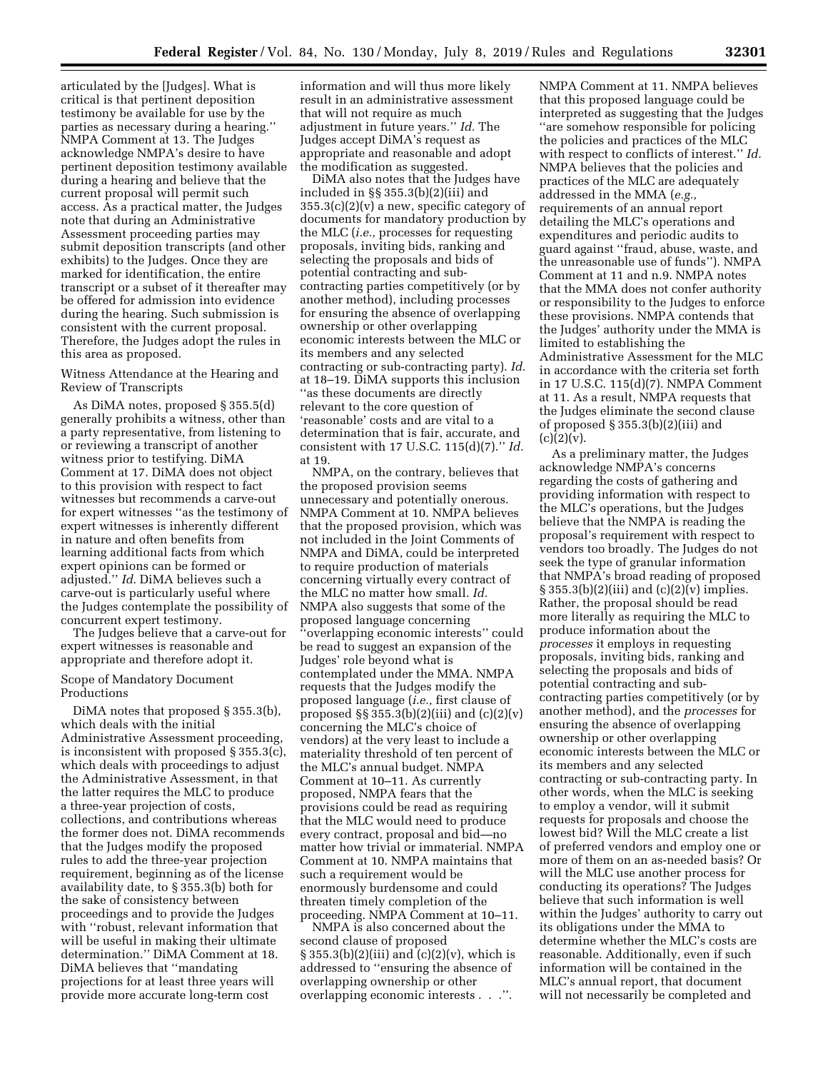articulated by the [Judges]. What is critical is that pertinent deposition testimony be available for use by the parties as necessary during a hearing.'' NMPA Comment at 13. The Judges acknowledge NMPA's desire to have pertinent deposition testimony available during a hearing and believe that the current proposal will permit such access. As a practical matter, the Judges note that during an Administrative Assessment proceeding parties may submit deposition transcripts (and other exhibits) to the Judges. Once they are marked for identification, the entire transcript or a subset of it thereafter may be offered for admission into evidence during the hearing. Such submission is consistent with the current proposal. Therefore, the Judges adopt the rules in this area as proposed.

## Witness Attendance at the Hearing and Review of Transcripts

As DiMA notes, proposed § 355.5(d) generally prohibits a witness, other than a party representative, from listening to or reviewing a transcript of another witness prior to testifying. DiMA Comment at 17. DiMA does not object to this provision with respect to fact witnesses but recommends a carve-out for expert witnesses ''as the testimony of expert witnesses is inherently different in nature and often benefits from learning additional facts from which expert opinions can be formed or adjusted.'' *Id.* DiMA believes such a carve-out is particularly useful where the Judges contemplate the possibility of concurrent expert testimony.

The Judges believe that a carve-out for expert witnesses is reasonable and appropriate and therefore adopt it.

## Scope of Mandatory Document Productions

DiMA notes that proposed § 355.3(b), which deals with the initial Administrative Assessment proceeding, is inconsistent with proposed § 355.3(c), which deals with proceedings to adjust the Administrative Assessment, in that the latter requires the MLC to produce a three-year projection of costs, collections, and contributions whereas the former does not. DiMA recommends that the Judges modify the proposed rules to add the three-year projection requirement, beginning as of the license availability date, to § 355.3(b) both for the sake of consistency between proceedings and to provide the Judges with ''robust, relevant information that will be useful in making their ultimate determination.'' DiMA Comment at 18. DiMA believes that ''mandating projections for at least three years will provide more accurate long-term cost

information and will thus more likely result in an administrative assessment that will not require as much adjustment in future years.'' *Id.* The Judges accept DiMA's request as appropriate and reasonable and adopt the modification as suggested.

DiMA also notes that the Judges have included in §§ 355.3(b)(2)(iii) and  $355.3(c)(2)(v)$  a new, specific category of documents for mandatory production by the MLC (*i.e.,* processes for requesting proposals, inviting bids, ranking and selecting the proposals and bids of potential contracting and subcontracting parties competitively (or by another method), including processes for ensuring the absence of overlapping ownership or other overlapping economic interests between the MLC or its members and any selected contracting or sub-contracting party). *Id.*  at 18–19. DiMA supports this inclusion ''as these documents are directly relevant to the core question of 'reasonable' costs and are vital to a determination that is fair, accurate, and consistent with 17 U.S.C. 115(d)(7).'' *Id.*  at 19.

NMPA, on the contrary, believes that the proposed provision seems unnecessary and potentially onerous. NMPA Comment at 10. NMPA believes that the proposed provision, which was not included in the Joint Comments of NMPA and DiMA, could be interpreted to require production of materials concerning virtually every contract of the MLC no matter how small. *Id.*  NMPA also suggests that some of the proposed language concerning ''overlapping economic interests'' could be read to suggest an expansion of the Judges' role beyond what is contemplated under the MMA. NMPA requests that the Judges modify the proposed language (*i.e.,* first clause of proposed  $\S$  355.3(b)(2)(iii) and (c)(2)(v) concerning the MLC's choice of vendors) at the very least to include a materiality threshold of ten percent of the MLC's annual budget. NMPA Comment at 10–11. As currently proposed, NMPA fears that the provisions could be read as requiring that the MLC would need to produce every contract, proposal and bid—no matter how trivial or immaterial. NMPA Comment at 10. NMPA maintains that such a requirement would be enormously burdensome and could threaten timely completion of the proceeding. NMPA Comment at 10–11.

NMPA is also concerned about the second clause of proposed  $\S 355.3(b)(2)(iii)$  and  $(c)(2)(v)$ , which is addressed to ''ensuring the absence of overlapping ownership or other overlapping economic interests . . .''.

NMPA Comment at 11. NMPA believes that this proposed language could be interpreted as suggesting that the Judges ''are somehow responsible for policing the policies and practices of the MLC with respect to conflicts of interest.'' *Id.*  NMPA believes that the policies and practices of the MLC are adequately addressed in the MMA (*e.g.,*  requirements of an annual report detailing the MLC's operations and expenditures and periodic audits to guard against ''fraud, abuse, waste, and the unreasonable use of funds''). NMPA Comment at 11 and n.9. NMPA notes that the MMA does not confer authority or responsibility to the Judges to enforce these provisions. NMPA contends that the Judges' authority under the MMA is limited to establishing the Administrative Assessment for the MLC in accordance with the criteria set forth in 17 U.S.C. 115(d)(7). NMPA Comment at 11. As a result, NMPA requests that the Judges eliminate the second clause of proposed § 355.3(b)(2)(iii) and  $(c)(2)(v).$ 

As a preliminary matter, the Judges acknowledge NMPA's concerns regarding the costs of gathering and providing information with respect to the MLC's operations, but the Judges believe that the NMPA is reading the proposal's requirement with respect to vendors too broadly. The Judges do not seek the type of granular information that NMPA's broad reading of proposed  $\S 355.3(b)(2)(iii)$  and  $(c)(2)(v)$  implies. Rather, the proposal should be read more literally as requiring the MLC to produce information about the *processes* it employs in requesting proposals, inviting bids, ranking and selecting the proposals and bids of potential contracting and subcontracting parties competitively (or by another method), and the *processes* for ensuring the absence of overlapping ownership or other overlapping economic interests between the MLC or its members and any selected contracting or sub-contracting party. In other words, when the MLC is seeking to employ a vendor, will it submit requests for proposals and choose the lowest bid? Will the MLC create a list of preferred vendors and employ one or more of them on an as-needed basis? Or will the MLC use another process for conducting its operations? The Judges believe that such information is well within the Judges' authority to carry out its obligations under the MMA to determine whether the MLC's costs are reasonable. Additionally, even if such information will be contained in the MLC's annual report, that document will not necessarily be completed and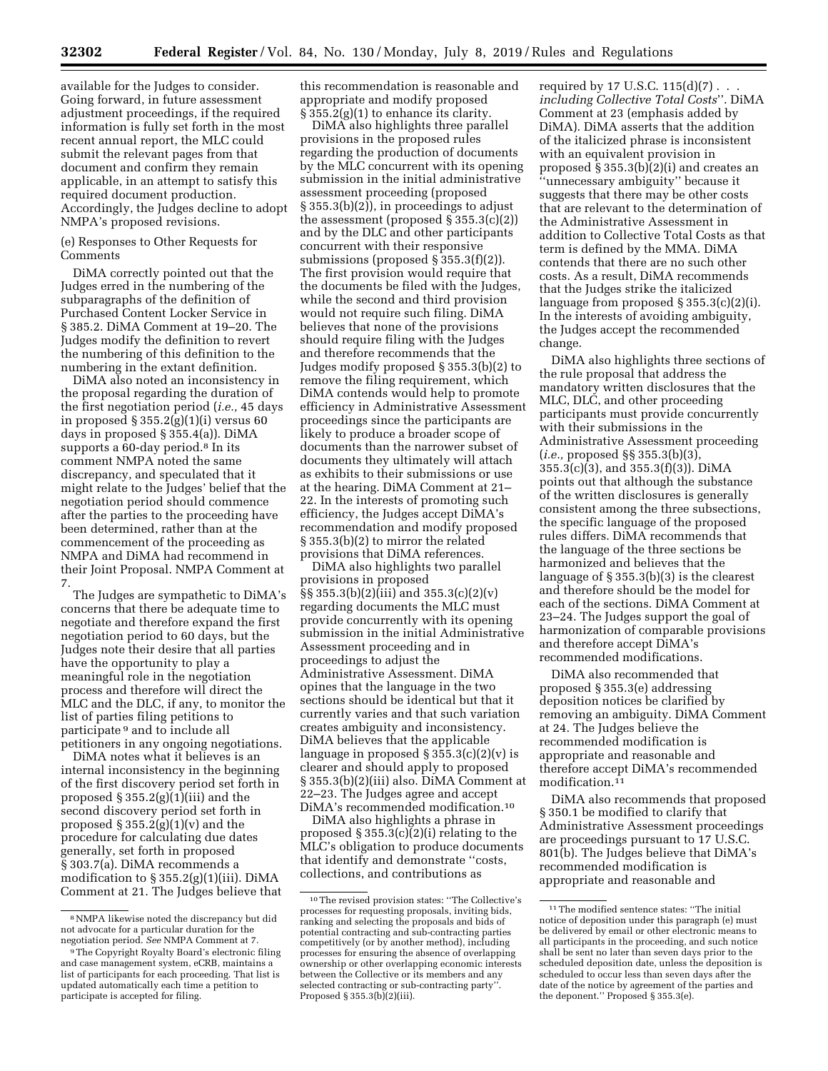available for the Judges to consider. Going forward, in future assessment adjustment proceedings, if the required information is fully set forth in the most recent annual report, the MLC could submit the relevant pages from that document and confirm they remain applicable, in an attempt to satisfy this required document production. Accordingly, the Judges decline to adopt NMPA's proposed revisions.

(e) Responses to Other Requests for Comments

DiMA correctly pointed out that the Judges erred in the numbering of the subparagraphs of the definition of Purchased Content Locker Service in § 385.2. DiMA Comment at 19–20. The Judges modify the definition to revert the numbering of this definition to the numbering in the extant definition.

DiMA also noted an inconsistency in the proposal regarding the duration of the first negotiation period (*i.e.,* 45 days in proposed § 355.2(g)(1)(i) versus 60 days in proposed § 355.4(a)). DiMA supports a 60-day period.<sup>8</sup> In its comment NMPA noted the same discrepancy, and speculated that it might relate to the Judges' belief that the negotiation period should commence after the parties to the proceeding have been determined, rather than at the commencement of the proceeding as NMPA and DiMA had recommend in their Joint Proposal. NMPA Comment at 7.

The Judges are sympathetic to DiMA's concerns that there be adequate time to negotiate and therefore expand the first negotiation period to 60 days, but the Judges note their desire that all parties have the opportunity to play a meaningful role in the negotiation process and therefore will direct the MLC and the DLC, if any, to monitor the list of parties filing petitions to participate 9 and to include all petitioners in any ongoing negotiations.

DiMA notes what it believes is an internal inconsistency in the beginning of the first discovery period set forth in proposed  $\S 355.2(g)(1)(iii)$  and the second discovery period set forth in proposed  $\S 355.2(g)(1)(v)$  and the procedure for calculating due dates generally, set forth in proposed § 303.7(a). DiMA recommends a modification to § 355.2(g)(1)(iii). DiMA Comment at 21. The Judges believe that this recommendation is reasonable and appropriate and modify proposed  $\S 355.2(g)(1)$  to enhance its clarity.

DiMA also highlights three parallel provisions in the proposed rules regarding the production of documents by the MLC concurrent with its opening submission in the initial administrative assessment proceeding (proposed § 355.3(b)(2)), in proceedings to adjust the assessment (proposed § 355.3(c)(2)) and by the DLC and other participants concurrent with their responsive submissions (proposed § 355.3(f)(2)). The first provision would require that the documents be filed with the Judges, while the second and third provision would not require such filing. DiMA believes that none of the provisions should require filing with the Judges and therefore recommends that the Judges modify proposed § 355.3(b)(2) to remove the filing requirement, which DiMA contends would help to promote efficiency in Administrative Assessment proceedings since the participants are likely to produce a broader scope of documents than the narrower subset of documents they ultimately will attach as exhibits to their submissions or use at the hearing. DiMA Comment at 21– 22. In the interests of promoting such efficiency, the Judges accept DiMA's recommendation and modify proposed § 355.3(b)(2) to mirror the related provisions that DiMA references.

DiMA also highlights two parallel provisions in proposed §§ 355.3(b)(2)(iii) and 355.3(c)(2)(v) regarding documents the MLC must provide concurrently with its opening submission in the initial Administrative Assessment proceeding and in proceedings to adjust the Administrative Assessment. DiMA opines that the language in the two sections should be identical but that it currently varies and that such variation creates ambiguity and inconsistency. DiMA believes that the applicable language in proposed  $\S 355.3(c)(2)(v)$  is clearer and should apply to proposed § 355.3(b)(2)(iii) also. DiMA Comment at 22–23. The Judges agree and accept DiMA's recommended modification.10

DiMA also highlights a phrase in proposed § 355.3(c)(2)(i) relating to the MLC's obligation to produce documents that identify and demonstrate ''costs, collections, and contributions as

required by 17 U.S.C. 115(d)(7) . . . *including Collective Total Costs*''. DiMA Comment at 23 (emphasis added by DiMA). DiMA asserts that the addition of the italicized phrase is inconsistent with an equivalent provision in proposed § 355.3(b)(2)(i) and creates an ''unnecessary ambiguity'' because it suggests that there may be other costs that are relevant to the determination of the Administrative Assessment in addition to Collective Total Costs as that term is defined by the MMA. DiMA contends that there are no such other costs. As a result, DiMA recommends that the Judges strike the italicized language from proposed § 355.3(c)(2)(i). In the interests of avoiding ambiguity, the Judges accept the recommended change.

DiMA also highlights three sections of the rule proposal that address the mandatory written disclosures that the MLC, DLC, and other proceeding participants must provide concurrently with their submissions in the Administrative Assessment proceeding (*i.e.,* proposed §§ 355.3(b)(3), 355.3(c)(3), and 355.3(f)(3)). DiMA points out that although the substance of the written disclosures is generally consistent among the three subsections, the specific language of the proposed rules differs. DiMA recommends that the language of the three sections be harmonized and believes that the language of § 355.3(b)(3) is the clearest and therefore should be the model for each of the sections. DiMA Comment at 23–24. The Judges support the goal of harmonization of comparable provisions and therefore accept DiMA's recommended modifications.

DiMA also recommended that proposed § 355.3(e) addressing deposition notices be clarified by removing an ambiguity. DiMA Comment at 24. The Judges believe the recommended modification is appropriate and reasonable and therefore accept DiMA's recommended modification.11

DiMA also recommends that proposed § 350.1 be modified to clarify that Administrative Assessment proceedings are proceedings pursuant to 17 U.S.C. 801(b). The Judges believe that DiMA's recommended modification is appropriate and reasonable and

<sup>8</sup>NMPA likewise noted the discrepancy but did not advocate for a particular duration for the negotiation period. *See* NMPA Comment at 7.

<sup>9</sup>The Copyright Royalty Board's electronic filing and case management system, eCRB, maintains a list of participants for each proceeding. That list is updated automatically each time a petition to participate is accepted for filing.

<sup>10</sup>The revised provision states: ''The Collective's processes for requesting proposals, inviting bids, ranking and selecting the proposals and bids of potential contracting and sub-contracting parties competitively (or by another method), including processes for ensuring the absence of overlapping ownership or other overlapping economic interests between the Collective or its members and any selected contracting or sub-contracting party''. Proposed § 355.3(b)(2)(iii).

<sup>11</sup>The modified sentence states: ''The initial notice of deposition under this paragraph (e) must be delivered by email or other electronic means to all participants in the proceeding, and such notice shall be sent no later than seven days prior to the scheduled deposition date, unless the deposition is scheduled to occur less than seven days after the date of the notice by agreement of the parties and the deponent.'' Proposed § 355.3(e).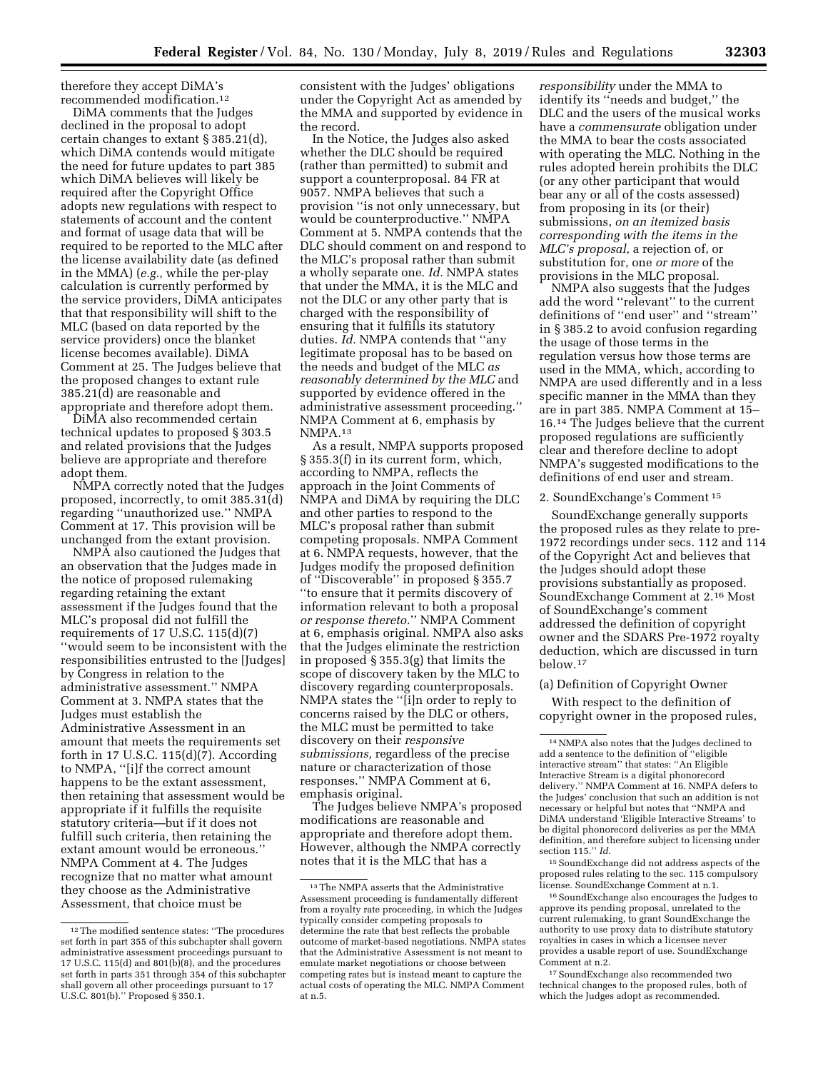therefore they accept DiMA's recommended modification.12

DiMA comments that the Judges declined in the proposal to adopt certain changes to extant § 385.21(d), which DiMA contends would mitigate the need for future updates to part 385 which DiMA believes will likely be required after the Copyright Office adopts new regulations with respect to statements of account and the content and format of usage data that will be required to be reported to the MLC after the license availability date (as defined in the MMA) (*e.g.,* while the per-play calculation is currently performed by the service providers, DiMA anticipates that that responsibility will shift to the MLC (based on data reported by the service providers) once the blanket license becomes available). DiMA Comment at 25. The Judges believe that the proposed changes to extant rule 385.21(d) are reasonable and appropriate and therefore adopt them.

DiMA also recommended certain technical updates to proposed § 303.5 and related provisions that the Judges believe are appropriate and therefore adopt them.

NMPA correctly noted that the Judges proposed, incorrectly, to omit 385.31(d) regarding ''unauthorized use.'' NMPA Comment at 17. This provision will be unchanged from the extant provision.

NMPA also cautioned the Judges that an observation that the Judges made in the notice of proposed rulemaking regarding retaining the extant assessment if the Judges found that the MLC's proposal did not fulfill the requirements of 17 U.S.C. 115(d)(7) ''would seem to be inconsistent with the responsibilities entrusted to the [Judges] by Congress in relation to the administrative assessment.'' NMPA Comment at 3. NMPA states that the Judges must establish the Administrative Assessment in an amount that meets the requirements set forth in 17 U.S.C. 115(d)(7). According to NMPA, ''[i]f the correct amount happens to be the extant assessment, then retaining that assessment would be appropriate if it fulfills the requisite statutory criteria—but if it does not fulfill such criteria, then retaining the extant amount would be erroneous.'' NMPA Comment at 4. The Judges recognize that no matter what amount they choose as the Administrative Assessment, that choice must be

12The modified sentence states: ''The procedures set forth in part 355 of this subchapter shall govern administrative assessment proceedings pursuant to 17 U.S.C. 115(d) and 801(b)(8), and the procedures set forth in parts 351 through 354 of this subchapter shall govern all other proceedings pursuant to 17 U.S.C. 801(b).'' Proposed § 350.1.

consistent with the Judges' obligations under the Copyright Act as amended by the MMA and supported by evidence in the record.

In the Notice, the Judges also asked whether the DLC should be required (rather than permitted) to submit and support a counterproposal. 84 FR at 9057. NMPA believes that such a provision ''is not only unnecessary, but would be counterproductive.'' NMPA Comment at 5. NMPA contends that the DLC should comment on and respond to the MLC's proposal rather than submit a wholly separate one. *Id.* NMPA states that under the MMA, it is the MLC and not the DLC or any other party that is charged with the responsibility of ensuring that it fulfills its statutory duties. *Id.* NMPA contends that ''any legitimate proposal has to be based on the needs and budget of the MLC *as reasonably determined by the MLC* and supported by evidence offered in the administrative assessment proceeding.'' NMPA Comment at 6, emphasis by NMPA.13

As a result, NMPA supports proposed § 355.3(f) in its current form, which, according to NMPA, reflects the approach in the Joint Comments of NMPA and DiMA by requiring the DLC and other parties to respond to the MLC's proposal rather than submit competing proposals. NMPA Comment at 6. NMPA requests, however, that the Judges modify the proposed definition of ''Discoverable'' in proposed § 355.7 ''to ensure that it permits discovery of information relevant to both a proposal *or response thereto.*'' NMPA Comment at 6, emphasis original. NMPA also asks that the Judges eliminate the restriction in proposed § 355.3(g) that limits the scope of discovery taken by the MLC to discovery regarding counterproposals. NMPA states the ''[i]n order to reply to concerns raised by the DLC or others, the MLC must be permitted to take discovery on their *responsive submissions,* regardless of the precise nature or characterization of those responses.'' NMPA Comment at 6, emphasis original.

The Judges believe NMPA's proposed modifications are reasonable and appropriate and therefore adopt them. However, although the NMPA correctly notes that it is the MLC that has a

*responsibility* under the MMA to identify its ''needs and budget,'' the DLC and the users of the musical works have a *commensurate* obligation under the MMA to bear the costs associated with operating the MLC. Nothing in the rules adopted herein prohibits the DLC (or any other participant that would bear any or all of the costs assessed) from proposing in its (or their) submissions, *on an itemized basis corresponding with the items in the MLC's proposal,* a rejection of, or substitution for, one *or more* of the provisions in the MLC proposal.

NMPA also suggests that the Judges add the word ''relevant'' to the current definitions of ''end user'' and ''stream'' in § 385.2 to avoid confusion regarding the usage of those terms in the regulation versus how those terms are used in the MMA, which, according to NMPA are used differently and in a less specific manner in the MMA than they are in part 385. NMPA Comment at 15– 16.14 The Judges believe that the current proposed regulations are sufficiently clear and therefore decline to adopt NMPA's suggested modifications to the definitions of end user and stream.

### 2. SoundExchange's Comment 15

SoundExchange generally supports the proposed rules as they relate to pre-1972 recordings under secs. 112 and 114 of the Copyright Act and believes that the Judges should adopt these provisions substantially as proposed. SoundExchange Comment at 2.16 Most of SoundExchange's comment addressed the definition of copyright owner and the SDARS Pre-1972 royalty deduction, which are discussed in turn below.17

### (a) Definition of Copyright Owner

With respect to the definition of copyright owner in the proposed rules,

15SoundExchange did not address aspects of the proposed rules relating to the sec. 115 compulsory license. SoundExchange Comment at n.1.

16SoundExchange also encourages the Judges to approve its pending proposal, unrelated to the current rulemaking, to grant SoundExchange the authority to use proxy data to distribute statutory royalties in cases in which a licensee never provides a usable report of use. SoundExchange Comment at n.2.

17SoundExchange also recommended two technical changes to the proposed rules, both of which the Judges adopt as recommended.

<sup>13</sup>The NMPA asserts that the Administrative Assessment proceeding is fundamentally different from a royalty rate proceeding, in which the Judges typically consider competing proposals to determine the rate that best reflects the probable outcome of market-based negotiations. NMPA states that the Administrative Assessment is not meant to emulate market negotiations or choose between competing rates but is instead meant to capture the actual costs of operating the MLC. NMPA Comment at n.5.

<sup>14</sup>NMPA also notes that the Judges declined to add a sentence to the definition of ''eligible interactive stream'' that states: ''An Eligible Interactive Stream is a digital phonorecord delivery.'' NMPA Comment at 16. NMPA defers to the Judges' conclusion that such an addition is not necessary or helpful but notes that ''NMPA and DiMA understand 'Eligible Interactive Streams' to be digital phonorecord deliveries as per the MMA definition, and therefore subject to licensing under section 115.'' *Id.*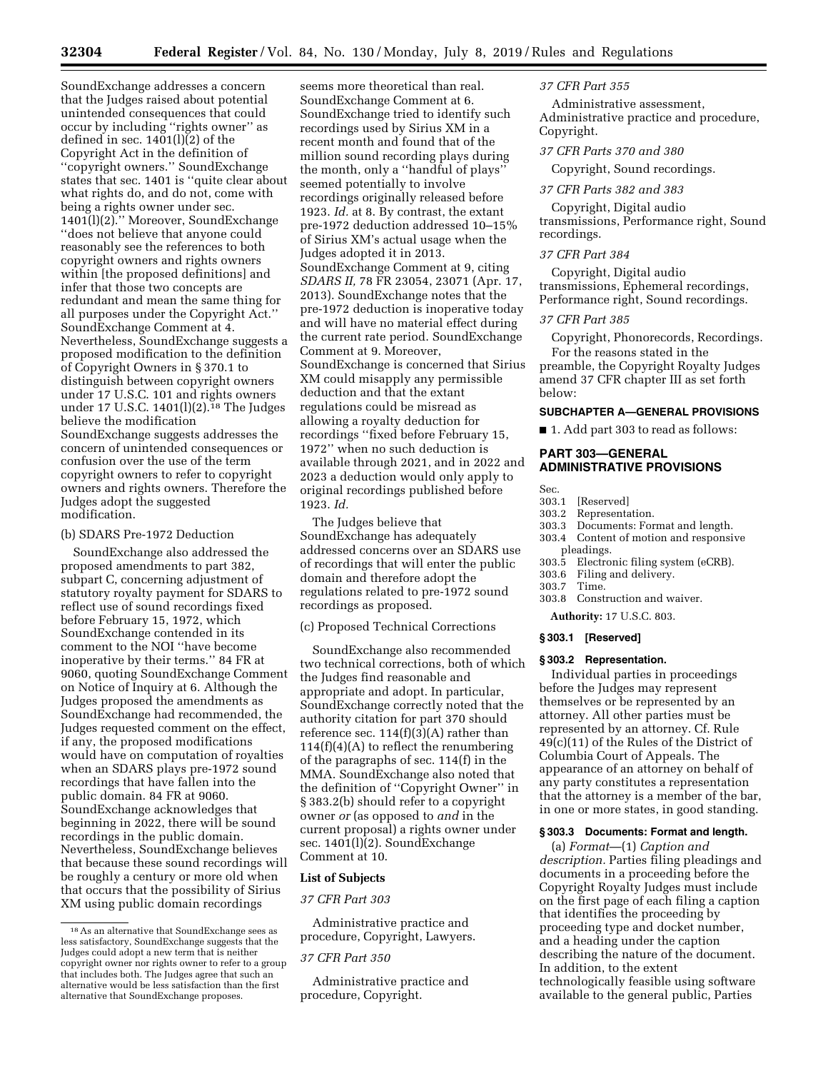SoundExchange addresses a concern that the Judges raised about potential unintended consequences that could occur by including ''rights owner'' as defined in sec. 1401(l)(2) of the Copyright Act in the definition of ''copyright owners.'' SoundExchange states that sec. 1401 is ''quite clear about what rights do, and do not, come with being a rights owner under sec. 1401(l)(2).'' Moreover, SoundExchange ''does not believe that anyone could reasonably see the references to both copyright owners and rights owners within [the proposed definitions] and infer that those two concepts are redundant and mean the same thing for all purposes under the Copyright Act.'' SoundExchange Comment at 4. Nevertheless, SoundExchange suggests a proposed modification to the definition of Copyright Owners in § 370.1 to distinguish between copyright owners under 17 U.S.C. 101 and rights owners under 17 U.S.C. 1401(l)(2). $18$  The Judges believe the modification SoundExchange suggests addresses the concern of unintended consequences or confusion over the use of the term copyright owners to refer to copyright owners and rights owners. Therefore the Judges adopt the suggested modification.

### (b) SDARS Pre-1972 Deduction

SoundExchange also addressed the proposed amendments to part 382, subpart C, concerning adjustment of statutory royalty payment for SDARS to reflect use of sound recordings fixed before February 15, 1972, which SoundExchange contended in its comment to the NOI ''have become inoperative by their terms.'' 84 FR at 9060, quoting SoundExchange Comment on Notice of Inquiry at 6. Although the Judges proposed the amendments as SoundExchange had recommended, the Judges requested comment on the effect, if any, the proposed modifications would have on computation of royalties when an SDARS plays pre-1972 sound recordings that have fallen into the public domain. 84 FR at 9060. SoundExchange acknowledges that beginning in 2022, there will be sound recordings in the public domain. Nevertheless, SoundExchange believes that because these sound recordings will be roughly a century or more old when that occurs that the possibility of Sirius XM using public domain recordings

seems more theoretical than real. SoundExchange Comment at 6. SoundExchange tried to identify such recordings used by Sirius XM in a recent month and found that of the million sound recording plays during the month, only a ''handful of plays'' seemed potentially to involve recordings originally released before 1923. *Id.* at 8. By contrast, the extant pre-1972 deduction addressed 10–15% of Sirius XM's actual usage when the Judges adopted it in 2013. SoundExchange Comment at 9, citing *SDARS II,* 78 FR 23054, 23071 (Apr. 17, 2013). SoundExchange notes that the pre-1972 deduction is inoperative today and will have no material effect during the current rate period. SoundExchange Comment at 9. Moreover, SoundExchange is concerned that Sirius XM could misapply any permissible deduction and that the extant regulations could be misread as allowing a royalty deduction for recordings ''fixed before February 15, 1972'' when no such deduction is available through 2021, and in 2022 and 2023 a deduction would only apply to original recordings published before 1923. *Id.* 

The Judges believe that SoundExchange has adequately addressed concerns over an SDARS use of recordings that will enter the public domain and therefore adopt the regulations related to pre-1972 sound recordings as proposed.

### (c) Proposed Technical Corrections

SoundExchange also recommended two technical corrections, both of which the Judges find reasonable and appropriate and adopt. In particular, SoundExchange correctly noted that the authority citation for part 370 should reference sec.  $114(f)(3)(A)$  rather than  $114(f)(4)(A)$  to reflect the renumbering of the paragraphs of sec. 114(f) in the MMA. SoundExchange also noted that the definition of ''Copyright Owner'' in § 383.2(b) should refer to a copyright owner *or* (as opposed to *and* in the current proposal) a rights owner under sec. 1401(l)(2). SoundExchange Comment at 10.

### **List of Subjects**

## *37 CFR Part 303*

Administrative practice and procedure, Copyright, Lawyers.

## *37 CFR Part 350*

Administrative practice and procedure, Copyright.

### *37 CFR Part 355*

Administrative assessment, Administrative practice and procedure, Copyright.

### *37 CFR Parts 370 and 380*

Copyright, Sound recordings.

### *37 CFR Parts 382 and 383*

Copyright, Digital audio transmissions, Performance right, Sound recordings.

## *37 CFR Part 384*

Copyright, Digital audio transmissions, Ephemeral recordings, Performance right, Sound recordings.

### *37 CFR Part 385*

Copyright, Phonorecords, Recordings. For the reasons stated in the preamble, the Copyright Royalty Judges amend 37 CFR chapter III as set forth below:

## **SUBCHAPTER A—GENERAL PROVISIONS**

■ 1. Add part 303 to read as follows:

## **PART 303—GENERAL ADMINISTRATIVE PROVISIONS**

## Sec.

- 303.1 [Reserved]
- 303.2 Representation.
- 303.3 Documents: Format and length.
- 303.4 Content of motion and responsive pleadings.
- 303.5 Electronic filing system (eCRB).
- 303.6 Filing and delivery.
- 303.7 Time.
- 303.8 Construction and waiver.
	- **Authority:** 17 U.S.C. 803.

### **§ 303.1 [Reserved]**

### **§ 303.2 Representation.**

Individual parties in proceedings before the Judges may represent themselves or be represented by an attorney. All other parties must be represented by an attorney. Cf. Rule 49(c)(11) of the Rules of the District of Columbia Court of Appeals. The appearance of an attorney on behalf of any party constitutes a representation that the attorney is a member of the bar, in one or more states, in good standing.

## **§ 303.3 Documents: Format and length.**

(a) *Format*—(1) *Caption and description.* Parties filing pleadings and documents in a proceeding before the Copyright Royalty Judges must include on the first page of each filing a caption that identifies the proceeding by proceeding type and docket number, and a heading under the caption describing the nature of the document. In addition, to the extent technologically feasible using software available to the general public, Parties

<sup>18</sup>As an alternative that SoundExchange sees as less satisfactory, SoundExchange suggests that the Judges could adopt a new term that is neither copyright owner nor rights owner to refer to a group that includes both. The Judges agree that such an alternative would be less satisfaction than the first alternative that SoundExchange proposes.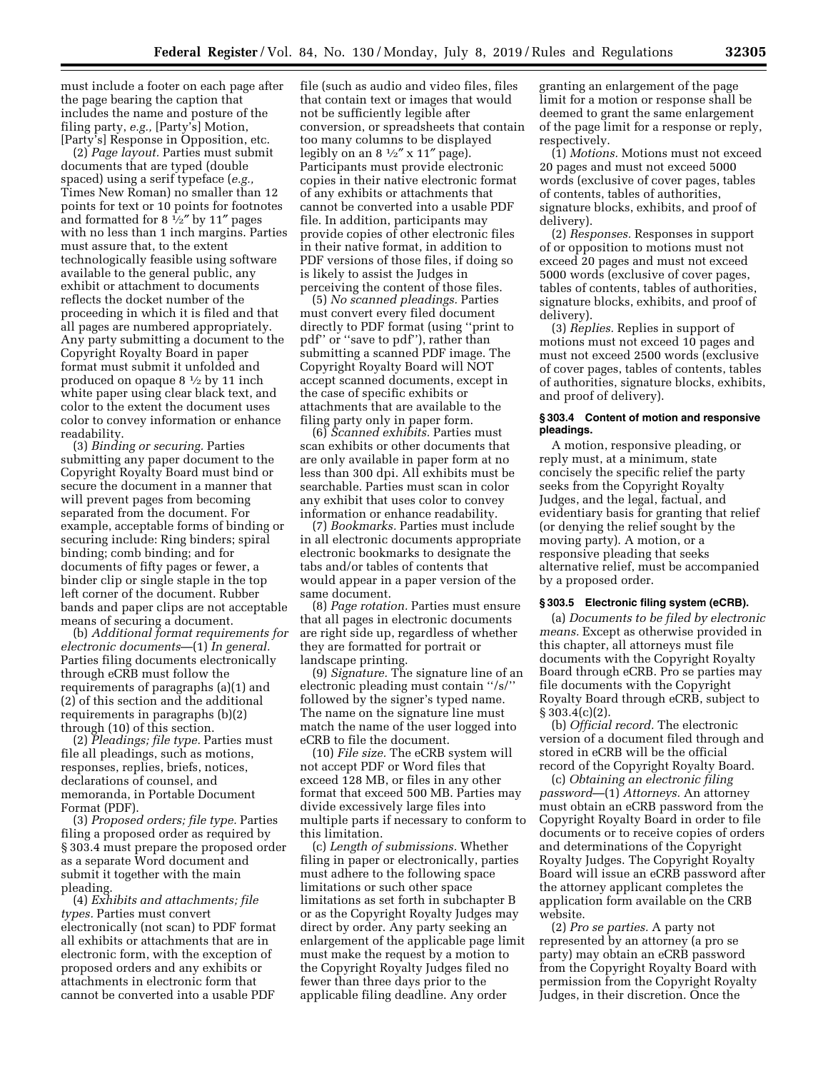must include a footer on each page after the page bearing the caption that includes the name and posture of the filing party, *e.g.,* [Party's] Motion, [Party's] Response in Opposition, etc.

(2) *Page layout.* Parties must submit documents that are typed (double spaced) using a serif typeface (*e.g.,*  Times New Roman) no smaller than 12 points for text or 10 points for footnotes and formatted for 8  $\frac{1}{2}$ " by 11" pages with no less than 1 inch margins. Parties must assure that, to the extent technologically feasible using software available to the general public, any exhibit or attachment to documents reflects the docket number of the proceeding in which it is filed and that all pages are numbered appropriately. Any party submitting a document to the Copyright Royalty Board in paper format must submit it unfolded and produced on opaque 8 1⁄2 by 11 inch white paper using clear black text, and color to the extent the document uses color to convey information or enhance readability.

(3) *Binding or securing.* Parties submitting any paper document to the Copyright Royalty Board must bind or secure the document in a manner that will prevent pages from becoming separated from the document. For example, acceptable forms of binding or securing include: Ring binders; spiral binding; comb binding; and for documents of fifty pages or fewer, a binder clip or single staple in the top left corner of the document. Rubber bands and paper clips are not acceptable means of securing a document.

(b) *Additional format requirements for electronic documents*—(1) *In general.*  Parties filing documents electronically through eCRB must follow the requirements of paragraphs (a)(1) and (2) of this section and the additional requirements in paragraphs (b)(2) through (10) of this section.

(2) *Pleadings; file type.* Parties must file all pleadings, such as motions, responses, replies, briefs, notices, declarations of counsel, and memoranda, in Portable Document Format (PDF).

(3) *Proposed orders; file type.* Parties filing a proposed order as required by § 303.4 must prepare the proposed order as a separate Word document and submit it together with the main pleading.

(4) *Exhibits and attachments; file types.* Parties must convert electronically (not scan) to PDF format all exhibits or attachments that are in electronic form, with the exception of proposed orders and any exhibits or attachments in electronic form that cannot be converted into a usable PDF

file (such as audio and video files, files that contain text or images that would not be sufficiently legible after conversion, or spreadsheets that contain too many columns to be displayed legibly on an  $8\frac{1}{2}$ " x  $11$ " page). Participants must provide electronic copies in their native electronic format of any exhibits or attachments that cannot be converted into a usable PDF file. In addition, participants may provide copies of other electronic files in their native format, in addition to PDF versions of those files, if doing so is likely to assist the Judges in perceiving the content of those files.

(5) *No scanned pleadings.* Parties must convert every filed document directly to PDF format (using ''print to pdf'' or ''save to pdf''), rather than submitting a scanned PDF image. The Copyright Royalty Board will NOT accept scanned documents, except in the case of specific exhibits or attachments that are available to the filing party only in paper form.

(6) *Scanned exhibits.* Parties must scan exhibits or other documents that are only available in paper form at no less than 300 dpi. All exhibits must be searchable. Parties must scan in color any exhibit that uses color to convey information or enhance readability.

(7) *Bookmarks.* Parties must include in all electronic documents appropriate electronic bookmarks to designate the tabs and/or tables of contents that would appear in a paper version of the same document.

(8) *Page rotation.* Parties must ensure that all pages in electronic documents are right side up, regardless of whether they are formatted for portrait or landscape printing.

(9) *Signature.* The signature line of an electronic pleading must contain ''/s/'' followed by the signer's typed name. The name on the signature line must match the name of the user logged into eCRB to file the document.

(10) *File size.* The eCRB system will not accept PDF or Word files that exceed 128 MB, or files in any other format that exceed 500 MB. Parties may divide excessively large files into multiple parts if necessary to conform to this limitation.

(c) *Length of submissions.* Whether filing in paper or electronically, parties must adhere to the following space limitations or such other space limitations as set forth in subchapter B or as the Copyright Royalty Judges may direct by order. Any party seeking an enlargement of the applicable page limit must make the request by a motion to the Copyright Royalty Judges filed no fewer than three days prior to the applicable filing deadline. Any order

granting an enlargement of the page limit for a motion or response shall be deemed to grant the same enlargement of the page limit for a response or reply, respectively.

(1) *Motions.* Motions must not exceed 20 pages and must not exceed 5000 words (exclusive of cover pages, tables of contents, tables of authorities, signature blocks, exhibits, and proof of delivery).

(2) *Responses.* Responses in support of or opposition to motions must not exceed 20 pages and must not exceed 5000 words (exclusive of cover pages, tables of contents, tables of authorities, signature blocks, exhibits, and proof of delivery).

(3) *Replies.* Replies in support of motions must not exceed 10 pages and must not exceed 2500 words (exclusive of cover pages, tables of contents, tables of authorities, signature blocks, exhibits, and proof of delivery).

### **§ 303.4 Content of motion and responsive pleadings.**

A motion, responsive pleading, or reply must, at a minimum, state concisely the specific relief the party seeks from the Copyright Royalty Judges, and the legal, factual, and evidentiary basis for granting that relief (or denying the relief sought by the moving party). A motion, or a responsive pleading that seeks alternative relief, must be accompanied by a proposed order.

## **§ 303.5 Electronic filing system (eCRB).**

(a) *Documents to be filed by electronic means.* Except as otherwise provided in this chapter, all attorneys must file documents with the Copyright Royalty Board through eCRB. Pro se parties may file documents with the Copyright Royalty Board through eCRB, subject to § 303.4(c)(2).

(b) *Official record.* The electronic version of a document filed through and stored in eCRB will be the official record of the Copyright Royalty Board.

(c) *Obtaining an electronic filing password*—(1) *Attorneys.* An attorney must obtain an eCRB password from the Copyright Royalty Board in order to file documents or to receive copies of orders and determinations of the Copyright Royalty Judges. The Copyright Royalty Board will issue an eCRB password after the attorney applicant completes the application form available on the CRB website.

(2) *Pro se parties.* A party not represented by an attorney (a pro se party) may obtain an eCRB password from the Copyright Royalty Board with permission from the Copyright Royalty Judges, in their discretion. Once the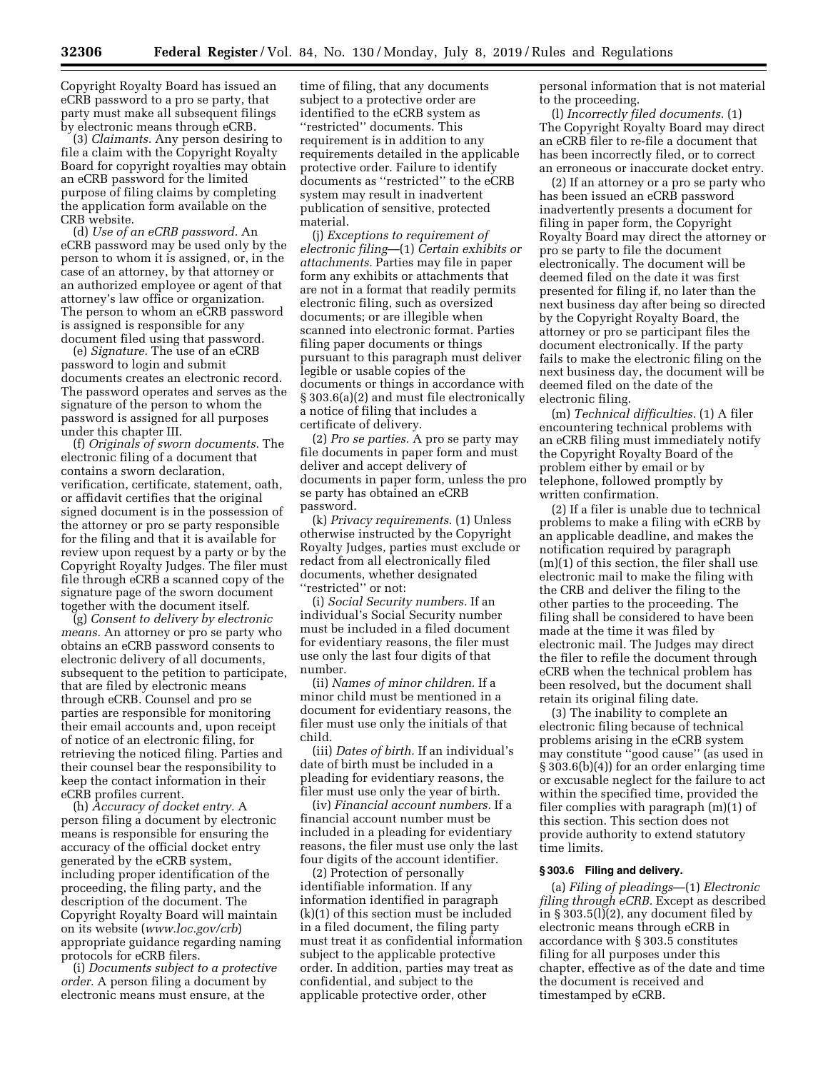Copyright Royalty Board has issued an eCRB password to a pro se party, that party must make all subsequent filings by electronic means through eCRB.

(3) *Claimants.* Any person desiring to file a claim with the Copyright Royalty Board for copyright royalties may obtain an eCRB password for the limited purpose of filing claims by completing the application form available on the CRB website.

(d) *Use of an eCRB password.* An eCRB password may be used only by the person to whom it is assigned, or, in the case of an attorney, by that attorney or an authorized employee or agent of that attorney's law office or organization. The person to whom an eCRB password is assigned is responsible for any document filed using that password.

(e) *Signature.* The use of an eCRB password to login and submit documents creates an electronic record. The password operates and serves as the signature of the person to whom the password is assigned for all purposes under this chapter III.

(f) *Originals of sworn documents.* The electronic filing of a document that contains a sworn declaration, verification, certificate, statement, oath, or affidavit certifies that the original signed document is in the possession of the attorney or pro se party responsible for the filing and that it is available for review upon request by a party or by the Copyright Royalty Judges. The filer must file through eCRB a scanned copy of the signature page of the sworn document together with the document itself.

(g) *Consent to delivery by electronic means.* An attorney or pro se party who obtains an eCRB password consents to electronic delivery of all documents, subsequent to the petition to participate, that are filed by electronic means through eCRB. Counsel and pro se parties are responsible for monitoring their email accounts and, upon receipt of notice of an electronic filing, for retrieving the noticed filing. Parties and their counsel bear the responsibility to keep the contact information in their eCRB profiles current.

(h) *Accuracy of docket entry.* A person filing a document by electronic means is responsible for ensuring the accuracy of the official docket entry generated by the eCRB system, including proper identification of the proceeding, the filing party, and the description of the document. The Copyright Royalty Board will maintain on its website (*[www.loc.gov/crb](http://www.loc.gov/crb)*) appropriate guidance regarding naming protocols for eCRB filers.

(i) *Documents subject to a protective order.* A person filing a document by electronic means must ensure, at the

time of filing, that any documents subject to a protective order are identified to the eCRB system as "restricted" documents. This requirement is in addition to any requirements detailed in the applicable protective order. Failure to identify documents as ''restricted'' to the eCRB system may result in inadvertent publication of sensitive, protected material.

(j) *Exceptions to requirement of electronic filing*—(1) *Certain exhibits or attachments.* Parties may file in paper form any exhibits or attachments that are not in a format that readily permits electronic filing, such as oversized documents; or are illegible when scanned into electronic format. Parties filing paper documents or things pursuant to this paragraph must deliver legible or usable copies of the documents or things in accordance with § 303.6(a)(2) and must file electronically a notice of filing that includes a certificate of delivery.

(2) *Pro se parties.* A pro se party may file documents in paper form and must deliver and accept delivery of documents in paper form, unless the pro se party has obtained an eCRB password.

(k) *Privacy requirements.* (1) Unless otherwise instructed by the Copyright Royalty Judges, parties must exclude or redact from all electronically filed documents, whether designated ''restricted'' or not:

(i) *Social Security numbers.* If an individual's Social Security number must be included in a filed document for evidentiary reasons, the filer must use only the last four digits of that number.

(ii) *Names of minor children.* If a minor child must be mentioned in a document for evidentiary reasons, the filer must use only the initials of that child.

(iii) *Dates of birth.* If an individual's date of birth must be included in a pleading for evidentiary reasons, the filer must use only the year of birth.

(iv) *Financial account numbers.* If a financial account number must be included in a pleading for evidentiary reasons, the filer must use only the last four digits of the account identifier.

(2) Protection of personally identifiable information. If any information identified in paragraph (k)(1) of this section must be included in a filed document, the filing party must treat it as confidential information subject to the applicable protective order. In addition, parties may treat as confidential, and subject to the applicable protective order, other

personal information that is not material to the proceeding.

(l) *Incorrectly filed documents.* (1) The Copyright Royalty Board may direct an eCRB filer to re-file a document that has been incorrectly filed, or to correct an erroneous or inaccurate docket entry.

(2) If an attorney or a pro se party who has been issued an eCRB password inadvertently presents a document for filing in paper form, the Copyright Royalty Board may direct the attorney or pro se party to file the document electronically. The document will be deemed filed on the date it was first presented for filing if, no later than the next business day after being so directed by the Copyright Royalty Board, the attorney or pro se participant files the document electronically. If the party fails to make the electronic filing on the next business day, the document will be deemed filed on the date of the electronic filing.

(m) *Technical difficulties.* (1) A filer encountering technical problems with an eCRB filing must immediately notify the Copyright Royalty Board of the problem either by email or by telephone, followed promptly by written confirmation.

(2) If a filer is unable due to technical problems to make a filing with eCRB by an applicable deadline, and makes the notification required by paragraph (m)(1) of this section, the filer shall use electronic mail to make the filing with the CRB and deliver the filing to the other parties to the proceeding. The filing shall be considered to have been made at the time it was filed by electronic mail. The Judges may direct the filer to refile the document through eCRB when the technical problem has been resolved, but the document shall retain its original filing date.

(3) The inability to complete an electronic filing because of technical problems arising in the eCRB system may constitute ''good cause'' (as used in § 303.6(b)(4)) for an order enlarging time or excusable neglect for the failure to act within the specified time, provided the filer complies with paragraph (m)(1) of this section. This section does not provide authority to extend statutory time limits.

## **§ 303.6 Filing and delivery.**

(a) *Filing of pleadings*—(1) *Electronic filing through eCRB.* Except as described in § 303.5(l)(2), any document filed by electronic means through eCRB in accordance with § 303.5 constitutes filing for all purposes under this chapter, effective as of the date and time the document is received and timestamped by eCRB.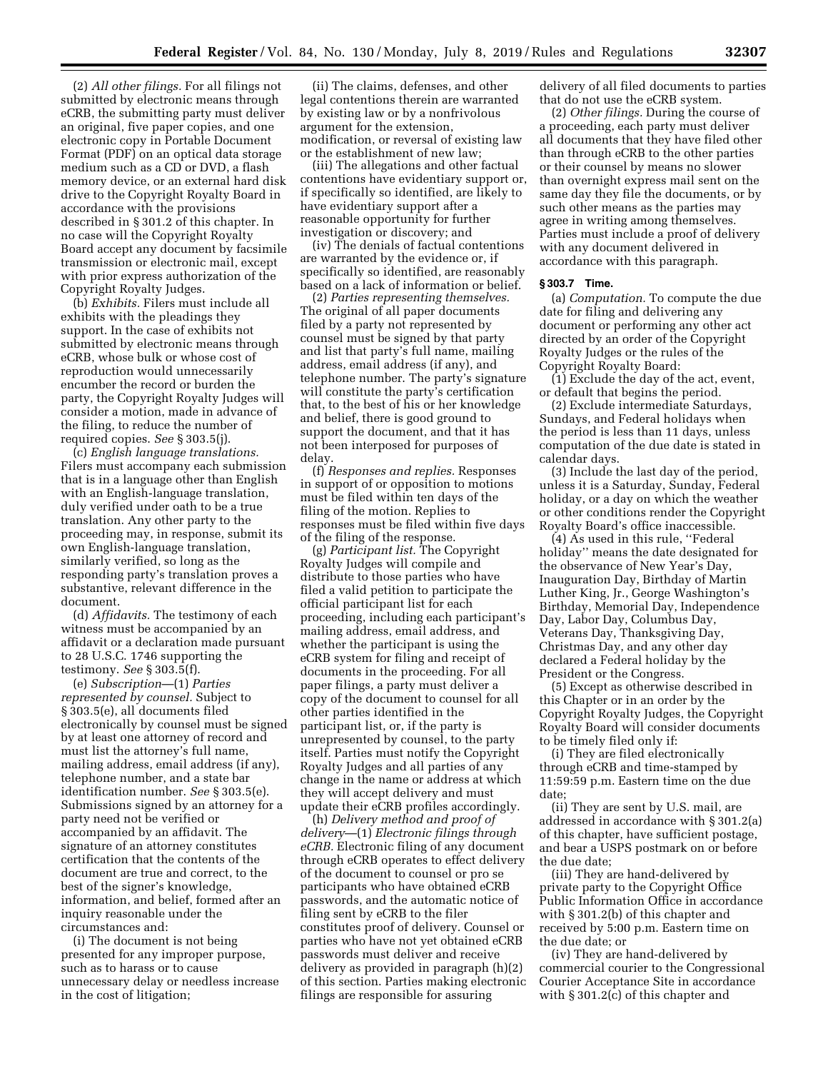(2) *All other filings.* For all filings not submitted by electronic means through eCRB, the submitting party must deliver an original, five paper copies, and one electronic copy in Portable Document Format (PDF) on an optical data storage medium such as a CD or DVD, a flash memory device, or an external hard disk drive to the Copyright Royalty Board in accordance with the provisions described in § 301.2 of this chapter. In no case will the Copyright Royalty Board accept any document by facsimile transmission or electronic mail, except with prior express authorization of the Copyright Royalty Judges.

(b) *Exhibits.* Filers must include all exhibits with the pleadings they support. In the case of exhibits not submitted by electronic means through eCRB, whose bulk or whose cost of reproduction would unnecessarily encumber the record or burden the party, the Copyright Royalty Judges will consider a motion, made in advance of the filing, to reduce the number of required copies. *See* § 303.5(j).

(c) *English language translations.*  Filers must accompany each submission that is in a language other than English with an English-language translation, duly verified under oath to be a true translation. Any other party to the proceeding may, in response, submit its own English-language translation, similarly verified, so long as the responding party's translation proves a substantive, relevant difference in the document.

(d) *Affidavits.* The testimony of each witness must be accompanied by an affidavit or a declaration made pursuant to 28 U.S.C. 1746 supporting the testimony. *See* § 303.5(f).

(e) *Subscription*—(1) *Parties represented by counsel.* Subject to § 303.5(e), all documents filed electronically by counsel must be signed by at least one attorney of record and must list the attorney's full name, mailing address, email address (if any), telephone number, and a state bar identification number. *See* § 303.5(e). Submissions signed by an attorney for a party need not be verified or accompanied by an affidavit. The signature of an attorney constitutes certification that the contents of the document are true and correct, to the best of the signer's knowledge, information, and belief, formed after an inquiry reasonable under the circumstances and:

(i) The document is not being presented for any improper purpose, such as to harass or to cause unnecessary delay or needless increase in the cost of litigation;

(ii) The claims, defenses, and other legal contentions therein are warranted by existing law or by a nonfrivolous argument for the extension, modification, or reversal of existing law or the establishment of new law;

(iii) The allegations and other factual contentions have evidentiary support or, if specifically so identified, are likely to have evidentiary support after a reasonable opportunity for further investigation or discovery; and

(iv) The denials of factual contentions are warranted by the evidence or, if specifically so identified, are reasonably based on a lack of information or belief.

(2) *Parties representing themselves.*  The original of all paper documents filed by a party not represented by counsel must be signed by that party and list that party's full name, mailing address, email address (if any), and telephone number. The party's signature will constitute the party's certification that, to the best of his or her knowledge and belief, there is good ground to support the document, and that it has not been interposed for purposes of delay.

(f) *Responses and replies.* Responses in support of or opposition to motions must be filed within ten days of the filing of the motion. Replies to responses must be filed within five days of the filing of the response.

(g) *Participant list.* The Copyright Royalty Judges will compile and distribute to those parties who have filed a valid petition to participate the official participant list for each proceeding, including each participant's mailing address, email address, and whether the participant is using the eCRB system for filing and receipt of documents in the proceeding. For all paper filings, a party must deliver a copy of the document to counsel for all other parties identified in the participant list, or, if the party is unrepresented by counsel, to the party itself. Parties must notify the Copyright Royalty Judges and all parties of any change in the name or address at which they will accept delivery and must update their eCRB profiles accordingly.

(h) *Delivery method and proof of delivery*—(1) *Electronic filings through eCRB.* Electronic filing of any document through eCRB operates to effect delivery of the document to counsel or pro se participants who have obtained eCRB passwords, and the automatic notice of filing sent by eCRB to the filer constitutes proof of delivery. Counsel or parties who have not yet obtained eCRB passwords must deliver and receive delivery as provided in paragraph (h)(2) of this section. Parties making electronic filings are responsible for assuring

delivery of all filed documents to parties that do not use the eCRB system.

(2) *Other filings.* During the course of a proceeding, each party must deliver all documents that they have filed other than through eCRB to the other parties or their counsel by means no slower than overnight express mail sent on the same day they file the documents, or by such other means as the parties may agree in writing among themselves. Parties must include a proof of delivery with any document delivered in accordance with this paragraph.

### **§ 303.7 Time.**

(a) *Computation.* To compute the due date for filing and delivering any document or performing any other act directed by an order of the Copyright Royalty Judges or the rules of the Copyright Royalty Board:

(1) Exclude the day of the act, event, or default that begins the period.

(2) Exclude intermediate Saturdays, Sundays, and Federal holidays when the period is less than 11 days, unless computation of the due date is stated in calendar days.

(3) Include the last day of the period, unless it is a Saturday, Sunday, Federal holiday, or a day on which the weather or other conditions render the Copyright Royalty Board's office inaccessible.

(4) As used in this rule, ''Federal holiday'' means the date designated for the observance of New Year's Day, Inauguration Day, Birthday of Martin Luther King, Jr., George Washington's Birthday, Memorial Day, Independence Day, Labor Day, Columbus Day, Veterans Day, Thanksgiving Day, Christmas Day, and any other day declared a Federal holiday by the President or the Congress.

(5) Except as otherwise described in this Chapter or in an order by the Copyright Royalty Judges, the Copyright Royalty Board will consider documents to be timely filed only if:

(i) They are filed electronically through eCRB and time-stamped by 11:59:59 p.m. Eastern time on the due date;

(ii) They are sent by U.S. mail, are addressed in accordance with § 301.2(a) of this chapter, have sufficient postage, and bear a USPS postmark on or before the due date;

(iii) They are hand-delivered by private party to the Copyright Office Public Information Office in accordance with § 301.2(b) of this chapter and received by 5:00 p.m. Eastern time on the due date; or

(iv) They are hand-delivered by commercial courier to the Congressional Courier Acceptance Site in accordance with § 301.2(c) of this chapter and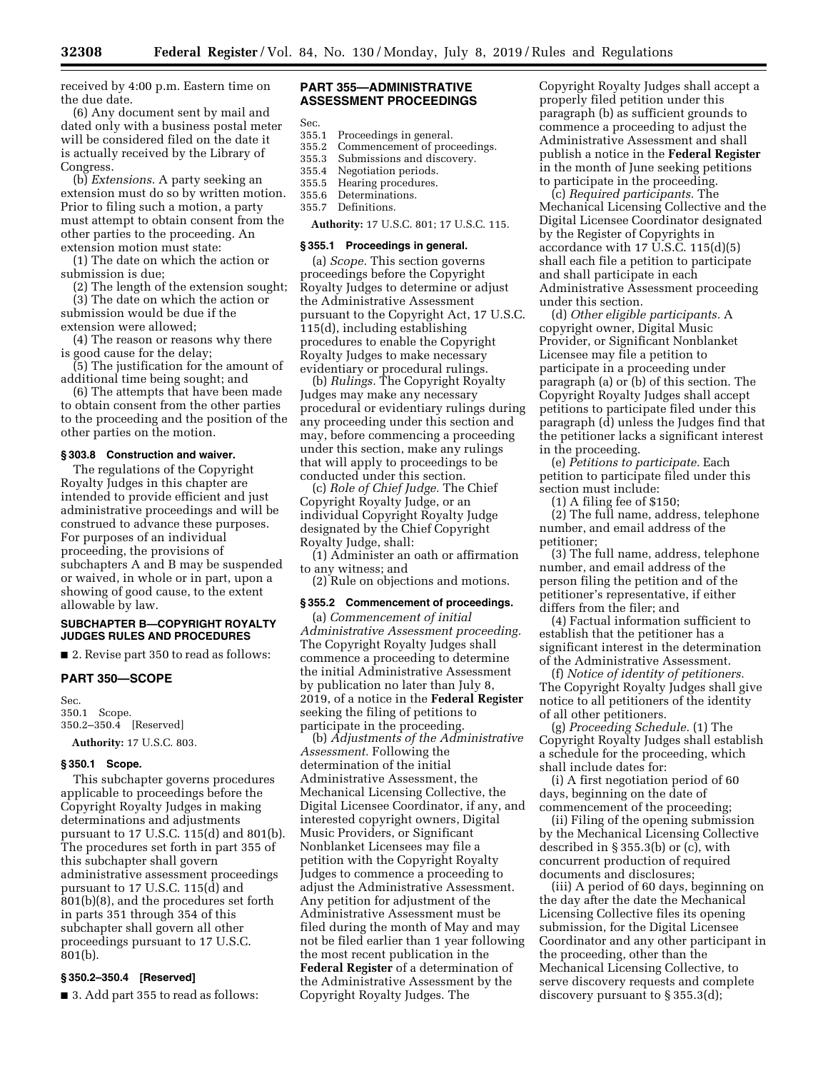received by 4:00 p.m. Eastern time on the due date.

(6) Any document sent by mail and dated only with a business postal meter will be considered filed on the date it is actually received by the Library of Congress.

(b) *Extensions.* A party seeking an extension must do so by written motion. Prior to filing such a motion, a party must attempt to obtain consent from the other parties to the proceeding. An extension motion must state:

(1) The date on which the action or submission is due;

(2) The length of the extension sought; (3) The date on which the action or submission would be due if the extension were allowed;

(4) The reason or reasons why there is good cause for the delay;

(5) The justification for the amount of additional time being sought; and

(6) The attempts that have been made to obtain consent from the other parties to the proceeding and the position of the other parties on the motion.

### **§ 303.8 Construction and waiver.**

The regulations of the Copyright Royalty Judges in this chapter are intended to provide efficient and just administrative proceedings and will be construed to advance these purposes. For purposes of an individual proceeding, the provisions of subchapters A and B may be suspended or waived, in whole or in part, upon a showing of good cause, to the extent allowable by law.

### **SUBCHAPTER B—COPYRIGHT ROYALTY JUDGES RULES AND PROCEDURES**

■ 2. Revise part 350 to read as follows:

## **PART 350—SCOPE**

Sec. 350.1 Scope. 350.2–350.4 [Reserved] **Authority:** 17 U.S.C. 803.

### **§ 350.1 Scope.**

This subchapter governs procedures applicable to proceedings before the Copyright Royalty Judges in making determinations and adjustments pursuant to 17 U.S.C. 115(d) and 801(b). The procedures set forth in part 355 of this subchapter shall govern administrative assessment proceedings pursuant to 17 U.S.C. 115(d) and 801(b)(8), and the procedures set forth in parts 351 through 354 of this subchapter shall govern all other proceedings pursuant to 17 U.S.C. 801(b).

### **§ 350.2–350.4 [Reserved]**

■ 3. Add part 355 to read as follows:

## **PART 355—ADMINISTRATIVE ASSESSMENT PROCEEDINGS**

Sec.

- 355.1 Proceedings in general.
- 355.2 Commencement of proceedings.
- 355.3 Submissions and discovery.<br>355.4 Negotiation periods.
- Negotiation periods.
- 355.5 Hearing procedures.
- 355.6 Determinations. Definitions.

**Authority:** 17 U.S.C. 801; 17 U.S.C. 115.

## **§ 355.1 Proceedings in general.**

(a) *Scope.* This section governs proceedings before the Copyright Royalty Judges to determine or adjust the Administrative Assessment pursuant to the Copyright Act, 17 U.S.C. 115(d), including establishing procedures to enable the Copyright Royalty Judges to make necessary evidentiary or procedural rulings.

(b) *Rulings.* The Copyright Royalty Judges may make any necessary procedural or evidentiary rulings during any proceeding under this section and may, before commencing a proceeding under this section, make any rulings that will apply to proceedings to be conducted under this section.

(c) *Role of Chief Judge.* The Chief Copyright Royalty Judge, or an individual Copyright Royalty Judge designated by the Chief Copyright Royalty Judge, shall:

(1) Administer an oath or affirmation to any witness; and

(2) Rule on objections and motions.

### **§ 355.2 Commencement of proceedings.**

(a) *Commencement of initial Administrative Assessment proceeding.*  The Copyright Royalty Judges shall commence a proceeding to determine the initial Administrative Assessment by publication no later than July 8, 2019, of a notice in the **Federal Register**  seeking the filing of petitions to participate in the proceeding.

(b) *Adjustments of the Administrative Assessment.* Following the determination of the initial Administrative Assessment, the Mechanical Licensing Collective, the Digital Licensee Coordinator, if any, and interested copyright owners, Digital Music Providers, or Significant Nonblanket Licensees may file a petition with the Copyright Royalty Judges to commence a proceeding to adjust the Administrative Assessment. Any petition for adjustment of the Administrative Assessment must be filed during the month of May and may not be filed earlier than 1 year following the most recent publication in the **Federal Register** of a determination of the Administrative Assessment by the Copyright Royalty Judges. The

Copyright Royalty Judges shall accept a properly filed petition under this paragraph (b) as sufficient grounds to commence a proceeding to adjust the Administrative Assessment and shall publish a notice in the **Federal Register**  in the month of June seeking petitions to participate in the proceeding.

(c) *Required participants.* The Mechanical Licensing Collective and the Digital Licensee Coordinator designated by the Register of Copyrights in accordance with 17 U.S.C. 115(d)(5) shall each file a petition to participate and shall participate in each Administrative Assessment proceeding under this section.

(d) *Other eligible participants.* A copyright owner, Digital Music Provider, or Significant Nonblanket Licensee may file a petition to participate in a proceeding under paragraph (a) or (b) of this section. The Copyright Royalty Judges shall accept petitions to participate filed under this paragraph (d) unless the Judges find that the petitioner lacks a significant interest in the proceeding.

(e) *Petitions to participate.* Each petition to participate filed under this section must include:

(1) A filing fee of \$150;

(2) The full name, address, telephone number, and email address of the petitioner;

(3) The full name, address, telephone number, and email address of the person filing the petition and of the petitioner's representative, if either differs from the filer; and

(4) Factual information sufficient to establish that the petitioner has a significant interest in the determination of the Administrative Assessment.

(f) *Notice of identity of petitioners.*  The Copyright Royalty Judges shall give notice to all petitioners of the identity of all other petitioners.

(g) *Proceeding Schedule.* (1) The Copyright Royalty Judges shall establish a schedule for the proceeding, which shall include dates for:

(i) A first negotiation period of 60 days, beginning on the date of commencement of the proceeding;

(ii) Filing of the opening submission by the Mechanical Licensing Collective described in § 355.3(b) or (c), with concurrent production of required documents and disclosures;

(iii) A period of 60 days, beginning on the day after the date the Mechanical Licensing Collective files its opening submission, for the Digital Licensee Coordinator and any other participant in the proceeding, other than the Mechanical Licensing Collective, to serve discovery requests and complete discovery pursuant to § 355.3(d);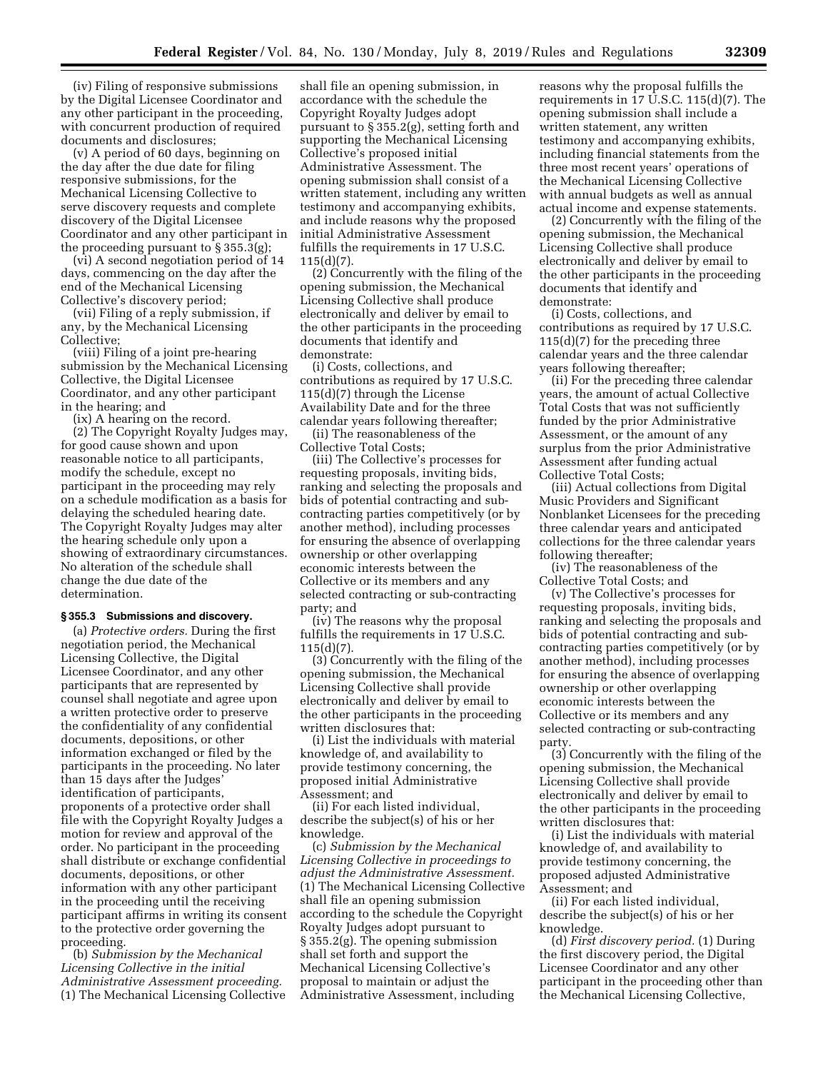(iv) Filing of responsive submissions by the Digital Licensee Coordinator and any other participant in the proceeding, with concurrent production of required documents and disclosures;

(v) A period of 60 days, beginning on the day after the due date for filing responsive submissions, for the Mechanical Licensing Collective to serve discovery requests and complete discovery of the Digital Licensee Coordinator and any other participant in the proceeding pursuant to § 355.3(g);

(vi) A second negotiation period of 14 days, commencing on the day after the end of the Mechanical Licensing Collective's discovery period;

(vii) Filing of a reply submission, if any, by the Mechanical Licensing Collective;

(viii) Filing of a joint pre-hearing submission by the Mechanical Licensing Collective, the Digital Licensee Coordinator, and any other participant in the hearing; and

(ix) A hearing on the record.

(2) The Copyright Royalty Judges may, for good cause shown and upon reasonable notice to all participants, modify the schedule, except no participant in the proceeding may rely on a schedule modification as a basis for delaying the scheduled hearing date. The Copyright Royalty Judges may alter the hearing schedule only upon a showing of extraordinary circumstances. No alteration of the schedule shall change the due date of the determination.

### **§ 355.3 Submissions and discovery.**

(a) *Protective orders.* During the first negotiation period, the Mechanical Licensing Collective, the Digital Licensee Coordinator, and any other participants that are represented by counsel shall negotiate and agree upon a written protective order to preserve the confidentiality of any confidential documents, depositions, or other information exchanged or filed by the participants in the proceeding. No later than 15 days after the Judges' identification of participants, proponents of a protective order shall file with the Copyright Royalty Judges a motion for review and approval of the order. No participant in the proceeding shall distribute or exchange confidential documents, depositions, or other information with any other participant in the proceeding until the receiving participant affirms in writing its consent to the protective order governing the proceeding.

(b) *Submission by the Mechanical Licensing Collective in the initial Administrative Assessment proceeding.*  (1) The Mechanical Licensing Collective

shall file an opening submission, in accordance with the schedule the Copyright Royalty Judges adopt pursuant to § 355.2(g), setting forth and supporting the Mechanical Licensing Collective's proposed initial Administrative Assessment. The opening submission shall consist of a written statement, including any written testimony and accompanying exhibits, and include reasons why the proposed initial Administrative Assessment fulfills the requirements in 17 U.S.C. 115(d)(7).

(2) Concurrently with the filing of the opening submission, the Mechanical Licensing Collective shall produce electronically and deliver by email to the other participants in the proceeding documents that identify and demonstrate:

(i) Costs, collections, and contributions as required by 17 U.S.C. 115(d)(7) through the License Availability Date and for the three calendar years following thereafter;

(ii) The reasonableness of the Collective Total Costs;

(iii) The Collective's processes for requesting proposals, inviting bids, ranking and selecting the proposals and bids of potential contracting and subcontracting parties competitively (or by another method), including processes for ensuring the absence of overlapping ownership or other overlapping economic interests between the Collective or its members and any selected contracting or sub-contracting party; and

(iv) The reasons why the proposal fulfills the requirements in 17 U.S.C. 115(d)(7).

(3) Concurrently with the filing of the opening submission, the Mechanical Licensing Collective shall provide electronically and deliver by email to the other participants in the proceeding written disclosures that:

(i) List the individuals with material knowledge of, and availability to provide testimony concerning, the proposed initial Administrative Assessment; and

(ii) For each listed individual, describe the subject(s) of his or her knowledge.

(c) *Submission by the Mechanical Licensing Collective in proceedings to adjust the Administrative Assessment.*  (1) The Mechanical Licensing Collective shall file an opening submission according to the schedule the Copyright Royalty Judges adopt pursuant to § 355.2(g). The opening submission shall set forth and support the Mechanical Licensing Collective's proposal to maintain or adjust the Administrative Assessment, including

reasons why the proposal fulfills the requirements in 17 U.S.C. 115(d)(7). The opening submission shall include a written statement, any written testimony and accompanying exhibits, including financial statements from the three most recent years' operations of the Mechanical Licensing Collective with annual budgets as well as annual actual income and expense statements.

(2) Concurrently with the filing of the opening submission, the Mechanical Licensing Collective shall produce electronically and deliver by email to the other participants in the proceeding documents that identify and demonstrate:

(i) Costs, collections, and contributions as required by 17 U.S.C. 115(d)(7) for the preceding three calendar years and the three calendar years following thereafter;

(ii) For the preceding three calendar years, the amount of actual Collective Total Costs that was not sufficiently funded by the prior Administrative Assessment, or the amount of any surplus from the prior Administrative Assessment after funding actual Collective Total Costs;

(iii) Actual collections from Digital Music Providers and Significant Nonblanket Licensees for the preceding three calendar years and anticipated collections for the three calendar years following thereafter;

(iv) The reasonableness of the Collective Total Costs; and

(v) The Collective's processes for requesting proposals, inviting bids, ranking and selecting the proposals and bids of potential contracting and subcontracting parties competitively (or by another method), including processes for ensuring the absence of overlapping ownership or other overlapping economic interests between the Collective or its members and any selected contracting or sub-contracting party.

(3) Concurrently with the filing of the opening submission, the Mechanical Licensing Collective shall provide electronically and deliver by email to the other participants in the proceeding written disclosures that:

(i) List the individuals with material knowledge of, and availability to provide testimony concerning, the proposed adjusted Administrative Assessment; and

(ii) For each listed individual, describe the subject(s) of his or her knowledge.

(d) *First discovery period.* (1) During the first discovery period, the Digital Licensee Coordinator and any other participant in the proceeding other than the Mechanical Licensing Collective,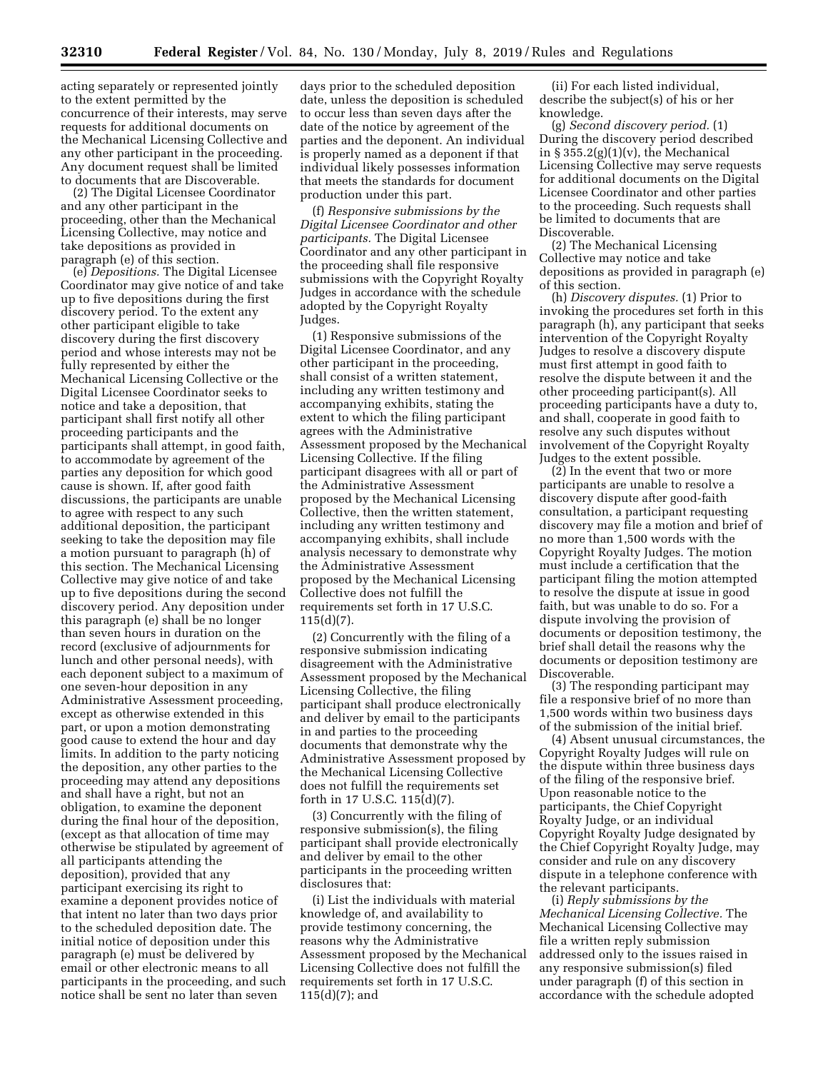acting separately or represented jointly to the extent permitted by the concurrence of their interests, may serve requests for additional documents on the Mechanical Licensing Collective and any other participant in the proceeding. Any document request shall be limited to documents that are Discoverable.

(2) The Digital Licensee Coordinator and any other participant in the proceeding, other than the Mechanical Licensing Collective, may notice and take depositions as provided in paragraph (e) of this section.

(e) *Depositions.* The Digital Licensee Coordinator may give notice of and take up to five depositions during the first discovery period. To the extent any other participant eligible to take discovery during the first discovery period and whose interests may not be fully represented by either the Mechanical Licensing Collective or the Digital Licensee Coordinator seeks to notice and take a deposition, that participant shall first notify all other proceeding participants and the participants shall attempt, in good faith, to accommodate by agreement of the parties any deposition for which good cause is shown. If, after good faith discussions, the participants are unable to agree with respect to any such additional deposition, the participant seeking to take the deposition may file a motion pursuant to paragraph (h) of this section. The Mechanical Licensing Collective may give notice of and take up to five depositions during the second discovery period. Any deposition under this paragraph (e) shall be no longer than seven hours in duration on the record (exclusive of adjournments for lunch and other personal needs), with each deponent subject to a maximum of one seven-hour deposition in any Administrative Assessment proceeding, except as otherwise extended in this part, or upon a motion demonstrating good cause to extend the hour and day limits. In addition to the party noticing the deposition, any other parties to the proceeding may attend any depositions and shall have a right, but not an obligation, to examine the deponent during the final hour of the deposition, (except as that allocation of time may otherwise be stipulated by agreement of all participants attending the deposition), provided that any participant exercising its right to examine a deponent provides notice of that intent no later than two days prior to the scheduled deposition date. The initial notice of deposition under this paragraph (e) must be delivered by email or other electronic means to all participants in the proceeding, and such notice shall be sent no later than seven

days prior to the scheduled deposition date, unless the deposition is scheduled to occur less than seven days after the date of the notice by agreement of the parties and the deponent. An individual is properly named as a deponent if that individual likely possesses information that meets the standards for document production under this part.

(f) *Responsive submissions by the Digital Licensee Coordinator and other participants.* The Digital Licensee Coordinator and any other participant in the proceeding shall file responsive submissions with the Copyright Royalty Judges in accordance with the schedule adopted by the Copyright Royalty Judges.

(1) Responsive submissions of the Digital Licensee Coordinator, and any other participant in the proceeding, shall consist of a written statement, including any written testimony and accompanying exhibits, stating the extent to which the filing participant agrees with the Administrative Assessment proposed by the Mechanical Licensing Collective. If the filing participant disagrees with all or part of the Administrative Assessment proposed by the Mechanical Licensing Collective, then the written statement, including any written testimony and accompanying exhibits, shall include analysis necessary to demonstrate why the Administrative Assessment proposed by the Mechanical Licensing Collective does not fulfill the requirements set forth in 17 U.S.C. 115(d)(7).

(2) Concurrently with the filing of a responsive submission indicating disagreement with the Administrative Assessment proposed by the Mechanical Licensing Collective, the filing participant shall produce electronically and deliver by email to the participants in and parties to the proceeding documents that demonstrate why the Administrative Assessment proposed by the Mechanical Licensing Collective does not fulfill the requirements set forth in 17 U.S.C. 115(d)(7).

(3) Concurrently with the filing of responsive submission(s), the filing participant shall provide electronically and deliver by email to the other participants in the proceeding written disclosures that:

(i) List the individuals with material knowledge of, and availability to provide testimony concerning, the reasons why the Administrative Assessment proposed by the Mechanical Licensing Collective does not fulfill the requirements set forth in 17 U.S.C. 115(d)(7); and

(ii) For each listed individual, describe the subject(s) of his or her knowledge.

(g) *Second discovery period.* (1) During the discovery period described in  $\S 355.2(g)(1)(v)$ , the Mechanical Licensing Collective may serve requests for additional documents on the Digital Licensee Coordinator and other parties to the proceeding. Such requests shall be limited to documents that are Discoverable.

(2) The Mechanical Licensing Collective may notice and take depositions as provided in paragraph (e) of this section.

(h) *Discovery disputes.* (1) Prior to invoking the procedures set forth in this paragraph (h), any participant that seeks intervention of the Copyright Royalty Judges to resolve a discovery dispute must first attempt in good faith to resolve the dispute between it and the other proceeding participant(s). All proceeding participants have a duty to, and shall, cooperate in good faith to resolve any such disputes without involvement of the Copyright Royalty Judges to the extent possible.

(2) In the event that two or more participants are unable to resolve a discovery dispute after good-faith consultation, a participant requesting discovery may file a motion and brief of no more than 1,500 words with the Copyright Royalty Judges. The motion must include a certification that the participant filing the motion attempted to resolve the dispute at issue in good faith, but was unable to do so. For a dispute involving the provision of documents or deposition testimony, the brief shall detail the reasons why the documents or deposition testimony are Discoverable.

(3) The responding participant may file a responsive brief of no more than 1,500 words within two business days of the submission of the initial brief.

(4) Absent unusual circumstances, the Copyright Royalty Judges will rule on the dispute within three business days of the filing of the responsive brief. Upon reasonable notice to the participants, the Chief Copyright Royalty Judge, or an individual Copyright Royalty Judge designated by the Chief Copyright Royalty Judge, may consider and rule on any discovery dispute in a telephone conference with the relevant participants.

(i) *Reply submissions by the Mechanical Licensing Collective.* The Mechanical Licensing Collective may file a written reply submission addressed only to the issues raised in any responsive submission(s) filed under paragraph (f) of this section in accordance with the schedule adopted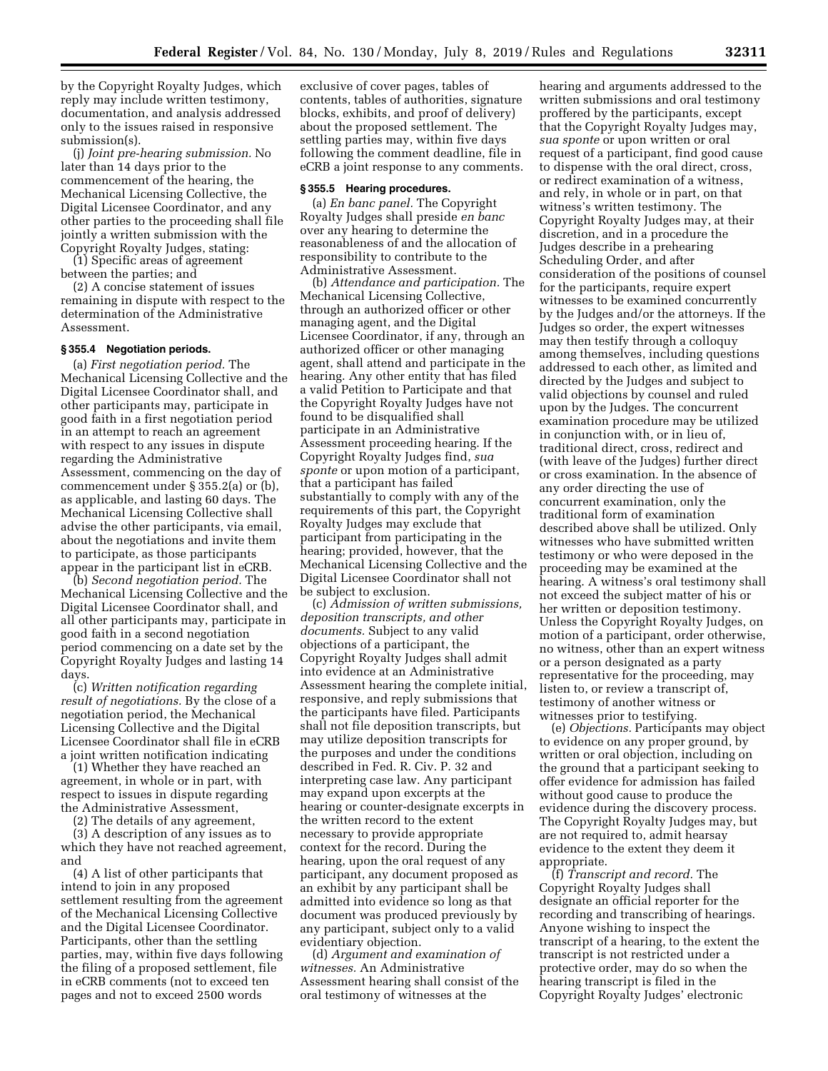by the Copyright Royalty Judges, which reply may include written testimony, documentation, and analysis addressed only to the issues raised in responsive submission(s).

(j) *Joint pre-hearing submission.* No later than 14 days prior to the commencement of the hearing, the Mechanical Licensing Collective, the Digital Licensee Coordinator, and any other parties to the proceeding shall file jointly a written submission with the Copyright Royalty Judges, stating:

(1) Specific areas of agreement between the parties; and

(2) A concise statement of issues remaining in dispute with respect to the determination of the Administrative Assessment.

## **§ 355.4 Negotiation periods.**

(a) *First negotiation period.* The Mechanical Licensing Collective and the Digital Licensee Coordinator shall, and other participants may, participate in good faith in a first negotiation period in an attempt to reach an agreement with respect to any issues in dispute regarding the Administrative Assessment, commencing on the day of commencement under § 355.2(a) or (b), as applicable, and lasting 60 days. The Mechanical Licensing Collective shall advise the other participants, via email, about the negotiations and invite them to participate, as those participants appear in the participant list in eCRB.

(b) *Second negotiation period.* The Mechanical Licensing Collective and the Digital Licensee Coordinator shall, and all other participants may, participate in good faith in a second negotiation period commencing on a date set by the Copyright Royalty Judges and lasting 14 days.

(c) *Written notification regarding result of negotiations.* By the close of a negotiation period, the Mechanical Licensing Collective and the Digital Licensee Coordinator shall file in eCRB a joint written notification indicating

(1) Whether they have reached an agreement, in whole or in part, with respect to issues in dispute regarding the Administrative Assessment,

(2) The details of any agreement,

(3) A description of any issues as to which they have not reached agreement, and

(4) A list of other participants that intend to join in any proposed settlement resulting from the agreement of the Mechanical Licensing Collective and the Digital Licensee Coordinator. Participants, other than the settling parties, may, within five days following the filing of a proposed settlement, file in eCRB comments (not to exceed ten pages and not to exceed 2500 words

exclusive of cover pages, tables of contents, tables of authorities, signature blocks, exhibits, and proof of delivery) about the proposed settlement. The settling parties may, within five days following the comment deadline, file in eCRB a joint response to any comments.

### **§ 355.5 Hearing procedures.**

(a) *En banc panel.* The Copyright Royalty Judges shall preside *en banc*  over any hearing to determine the reasonableness of and the allocation of responsibility to contribute to the Administrative Assessment.

(b) *Attendance and participation.* The Mechanical Licensing Collective, through an authorized officer or other managing agent, and the Digital Licensee Coordinator, if any, through an authorized officer or other managing agent, shall attend and participate in the hearing. Any other entity that has filed a valid Petition to Participate and that the Copyright Royalty Judges have not found to be disqualified shall participate in an Administrative Assessment proceeding hearing. If the Copyright Royalty Judges find, *sua sponte* or upon motion of a participant, that a participant has failed substantially to comply with any of the requirements of this part, the Copyright Royalty Judges may exclude that participant from participating in the hearing; provided, however, that the Mechanical Licensing Collective and the Digital Licensee Coordinator shall not be subject to exclusion.

(c) *Admission of written submissions, deposition transcripts, and other documents.* Subject to any valid objections of a participant, the Copyright Royalty Judges shall admit into evidence at an Administrative Assessment hearing the complete initial, responsive, and reply submissions that the participants have filed. Participants shall not file deposition transcripts, but may utilize deposition transcripts for the purposes and under the conditions described in Fed. R. Civ. P. 32 and interpreting case law. Any participant may expand upon excerpts at the hearing or counter-designate excerpts in the written record to the extent necessary to provide appropriate context for the record. During the hearing, upon the oral request of any participant, any document proposed as an exhibit by any participant shall be admitted into evidence so long as that document was produced previously by any participant, subject only to a valid evidentiary objection.

(d) *Argument and examination of witnesses.* An Administrative Assessment hearing shall consist of the oral testimony of witnesses at the

hearing and arguments addressed to the written submissions and oral testimony proffered by the participants, except that the Copyright Royalty Judges may, *sua sponte* or upon written or oral request of a participant, find good cause to dispense with the oral direct, cross, or redirect examination of a witness, and rely, in whole or in part, on that witness's written testimony. The Copyright Royalty Judges may, at their discretion, and in a procedure the Judges describe in a prehearing Scheduling Order, and after consideration of the positions of counsel for the participants, require expert witnesses to be examined concurrently by the Judges and/or the attorneys. If the Judges so order, the expert witnesses may then testify through a colloquy among themselves, including questions addressed to each other, as limited and directed by the Judges and subject to valid objections by counsel and ruled upon by the Judges. The concurrent examination procedure may be utilized in conjunction with, or in lieu of, traditional direct, cross, redirect and (with leave of the Judges) further direct or cross examination. In the absence of any order directing the use of concurrent examination, only the traditional form of examination described above shall be utilized. Only witnesses who have submitted written testimony or who were deposed in the proceeding may be examined at the hearing. A witness's oral testimony shall not exceed the subject matter of his or her written or deposition testimony. Unless the Copyright Royalty Judges, on motion of a participant, order otherwise, no witness, other than an expert witness or a person designated as a party representative for the proceeding, may listen to, or review a transcript of, testimony of another witness or witnesses prior to testifying.

(e) *Objections.* Participants may object to evidence on any proper ground, by written or oral objection, including on the ground that a participant seeking to offer evidence for admission has failed without good cause to produce the evidence during the discovery process. The Copyright Royalty Judges may, but are not required to, admit hearsay evidence to the extent they deem it appropriate.

(f) *Transcript and record.* The Copyright Royalty Judges shall designate an official reporter for the recording and transcribing of hearings. Anyone wishing to inspect the transcript of a hearing, to the extent the transcript is not restricted under a protective order, may do so when the hearing transcript is filed in the Copyright Royalty Judges' electronic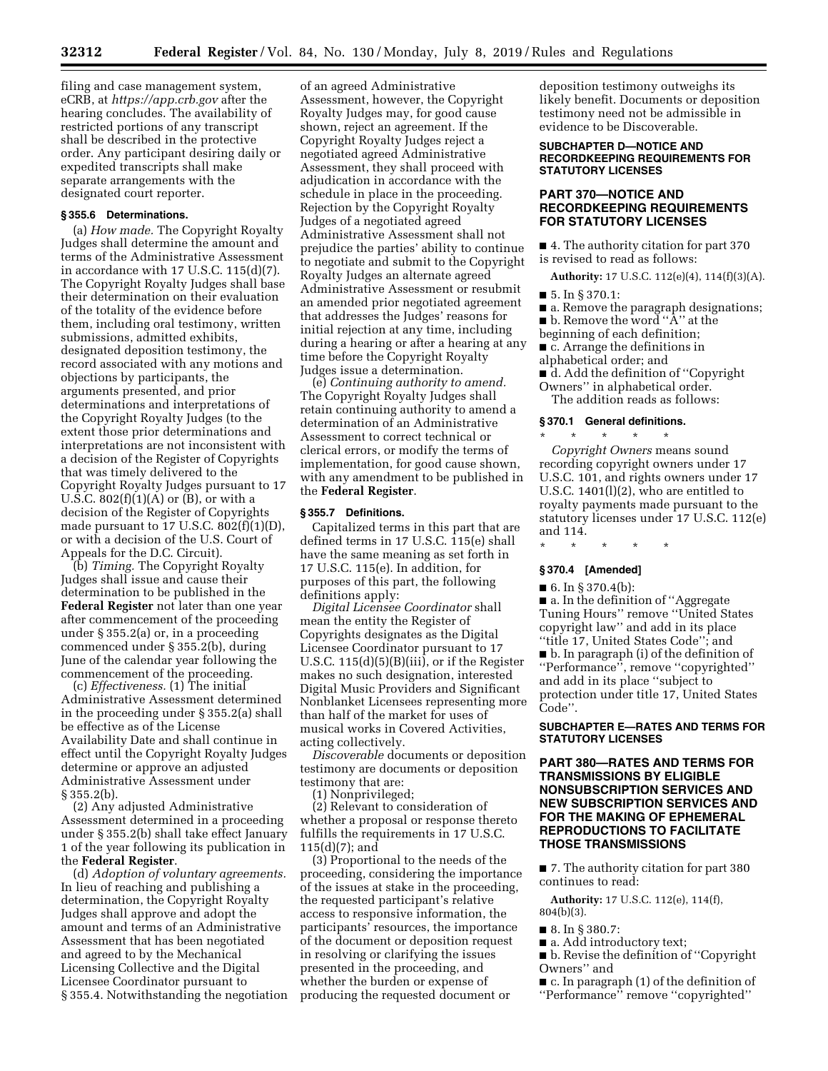filing and case management system, eCRB, at *<https://app.crb.gov>* after the hearing concludes. The availability of restricted portions of any transcript shall be described in the protective order. Any participant desiring daily or expedited transcripts shall make separate arrangements with the designated court reporter.

### **§ 355.6 Determinations.**

(a) *How made.* The Copyright Royalty Judges shall determine the amount and terms of the Administrative Assessment in accordance with 17 U.S.C. 115(d)(7). The Copyright Royalty Judges shall base their determination on their evaluation of the totality of the evidence before them, including oral testimony, written submissions, admitted exhibits, designated deposition testimony, the record associated with any motions and objections by participants, the arguments presented, and prior determinations and interpretations of the Copyright Royalty Judges (to the extent those prior determinations and interpretations are not inconsistent with a decision of the Register of Copyrights that was timely delivered to the Copyright Royalty Judges pursuant to 17 U.S.C.  $802(f)(1)(A)$  or  $(B)$ , or with a decision of the Register of Copyrights made pursuant to 17 U.S.C.  $802(f)(1)(D)$ , or with a decision of the U.S. Court of Appeals for the D.C. Circuit).

(b) *Timing.* The Copyright Royalty Judges shall issue and cause their determination to be published in the **Federal Register** not later than one year after commencement of the proceeding under § 355.2(a) or, in a proceeding commenced under § 355.2(b), during June of the calendar year following the commencement of the proceeding.

(c) *Effectiveness.* (1) The initial Administrative Assessment determined in the proceeding under § 355.2(a) shall be effective as of the License Availability Date and shall continue in effect until the Copyright Royalty Judges determine or approve an adjusted Administrative Assessment under § 355.2(b).

(2) Any adjusted Administrative Assessment determined in a proceeding under § 355.2(b) shall take effect January 1 of the year following its publication in the **Federal Register**.

(d) *Adoption of voluntary agreements.*  In lieu of reaching and publishing a determination, the Copyright Royalty Judges shall approve and adopt the amount and terms of an Administrative Assessment that has been negotiated and agreed to by the Mechanical Licensing Collective and the Digital Licensee Coordinator pursuant to § 355.4. Notwithstanding the negotiation

of an agreed Administrative Assessment, however, the Copyright Royalty Judges may, for good cause shown, reject an agreement. If the Copyright Royalty Judges reject a negotiated agreed Administrative Assessment, they shall proceed with adjudication in accordance with the schedule in place in the proceeding. Rejection by the Copyright Royalty Judges of a negotiated agreed Administrative Assessment shall not prejudice the parties' ability to continue to negotiate and submit to the Copyright Royalty Judges an alternate agreed Administrative Assessment or resubmit an amended prior negotiated agreement that addresses the Judges' reasons for initial rejection at any time, including during a hearing or after a hearing at any time before the Copyright Royalty Judges issue a determination.

(e) *Continuing authority to amend.*  The Copyright Royalty Judges shall retain continuing authority to amend a determination of an Administrative Assessment to correct technical or clerical errors, or modify the terms of implementation, for good cause shown, with any amendment to be published in the **Federal Register**.

### **§ 355.7 Definitions.**

Capitalized terms in this part that are defined terms in 17 U.S.C. 115(e) shall have the same meaning as set forth in 17 U.S.C. 115(e). In addition, for purposes of this part, the following definitions apply:

*Digital Licensee Coordinator* shall mean the entity the Register of Copyrights designates as the Digital Licensee Coordinator pursuant to 17 U.S.C. 115(d)(5)(B)(iii), or if the Register makes no such designation, interested Digital Music Providers and Significant Nonblanket Licensees representing more than half of the market for uses of musical works in Covered Activities, acting collectively.

*Discoverable* documents or deposition testimony are documents or deposition testimony that are:

(1) Nonprivileged;

(2) Relevant to consideration of whether a proposal or response thereto fulfills the requirements in 17 U.S.C. 115(d)(7); and

(3) Proportional to the needs of the proceeding, considering the importance of the issues at stake in the proceeding, the requested participant's relative access to responsive information, the participants' resources, the importance of the document or deposition request in resolving or clarifying the issues presented in the proceeding, and whether the burden or expense of producing the requested document or

deposition testimony outweighs its likely benefit. Documents or deposition testimony need not be admissible in evidence to be Discoverable.

### **SUBCHAPTER D—NOTICE AND RECORDKEEPING REQUIREMENTS FOR STATUTORY LICENSES**

## **PART 370—NOTICE AND RECORDKEEPING REQUIREMENTS FOR STATUTORY LICENSES**

■ 4. The authority citation for part 370 is revised to read as follows:

**Authority:** 17 U.S.C. 112(e)(4), 114(f)(3)(A).

■ 5. In § 370.1:

■ a. Remove the paragraph designations;

- b. Remove the word "A" at the
- beginning of each definition;
- $\bar{c}$ . Arrange the definitions in
- alphabetical order; and
- d. Add the definition of "Copyright" Owners'' in alphabetical order. The addition reads as follows:

**§ 370.1 General definitions.**  \* \* \* \* \*

*Copyright Owners* means sound recording copyright owners under 17 U.S.C. 101, and rights owners under 17 U.S.C. 1401(l)(2), who are entitled to royalty payments made pursuant to the statutory licenses under 17 U.S.C. 112(e) and 114.

\* \* \* \* \*

### **§ 370.4 [Amended]**

■ 6. In § 370.4(b):

■ a. In the definition of "Aggregate Tuning Hours'' remove ''United States copyright law'' and add in its place ''title 17, United States Code''; and

■ b. In paragraph (i) of the definition of ''Performance'', remove ''copyrighted'' and add in its place ''subject to protection under title 17, United States Code''.

### **SUBCHAPTER E—RATES AND TERMS FOR STATUTORY LICENSES**

## **PART 380—RATES AND TERMS FOR TRANSMISSIONS BY ELIGIBLE NONSUBSCRIPTION SERVICES AND NEW SUBSCRIPTION SERVICES AND FOR THE MAKING OF EPHEMERAL REPRODUCTIONS TO FACILITATE THOSE TRANSMISSIONS**

■ 7. The authority citation for part 380 continues to read:

**Authority:** 17 U.S.C. 112(e), 114(f), 804(b)(3).

- 8. In § 380.7:
- a. Add introductory text;

■ b. Revise the definition of "Copyright" Owners'' and

■ c. In paragraph (1) of the definition of ''Performance'' remove ''copyrighted''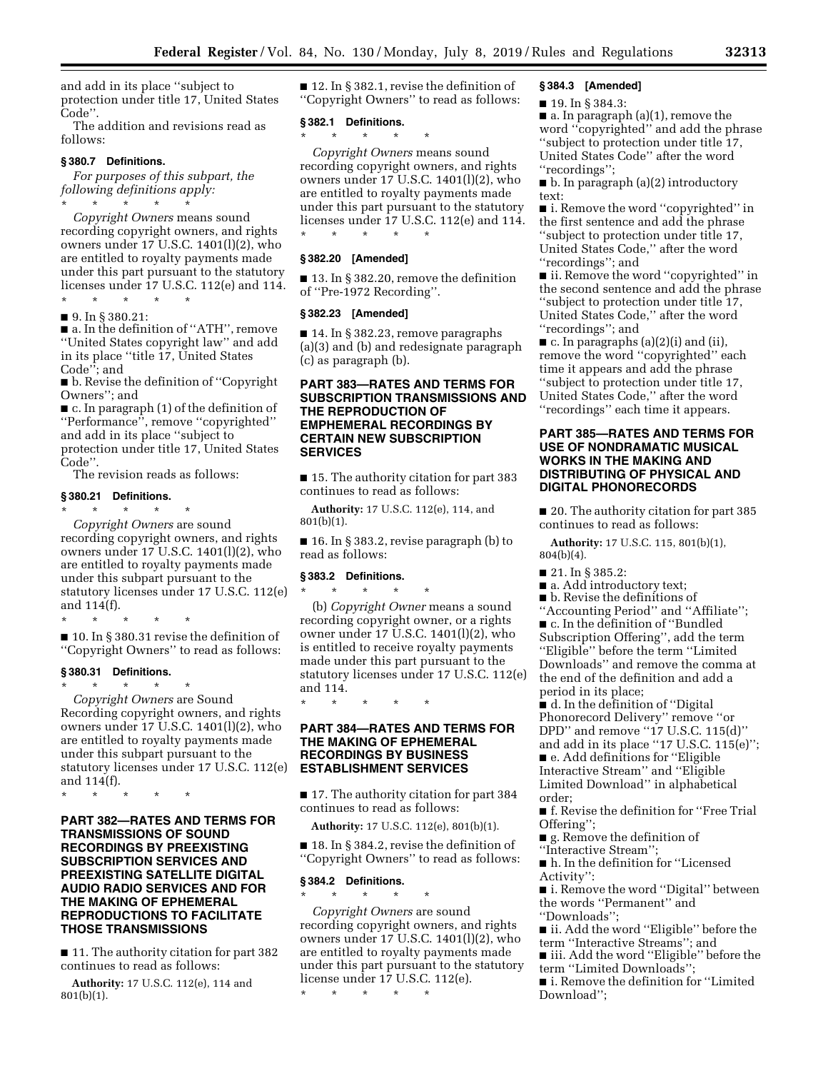and add in its place ''subject to protection under title 17, United States Code''.

The addition and revisions read as follows:

### **§ 380.7 Definitions.**

*For purposes of this subpart, the following definitions apply:*  \* \* \* \* \*

*Copyright Owners* means sound recording copyright owners, and rights owners under 17 U.S.C. 1401(l)(2), who are entitled to royalty payments made under this part pursuant to the statutory licenses under 17 U.S.C. 112(e) and 114. \* \* \* \* \*

■ 9. In § 380.21:

■ a. In the definition of ''ATH'', remove ''United States copyright law'' and add in its place ''title 17, United States Code''; and

■ b. Revise the definition of "Copyright" Owners''; and

■ c. In paragraph (1) of the definition of ''Performance'', remove ''copyrighted'' and add in its place ''subject to protection under title 17, United States Code''.

The revision reads as follows:

## **§ 380.21 Definitions.**

\* \* \* \* \* *Copyright Owners* are sound recording copyright owners, and rights owners under 17 U.S.C. 1401(l)(2), who are entitled to royalty payments made under this subpart pursuant to the statutory licenses under 17 U.S.C. 112(e) and 114(f).

\* \* \* \* \*

■ 10. In § 380.31 revise the definition of ''Copyright Owners'' to read as follows:

### **§ 380.31 Definitions.**

\* \* \* \* \* *Copyright Owners* are Sound Recording copyright owners, and rights owners under 17 U.S.C. 1401(l)(2), who are entitled to royalty payments made under this subpart pursuant to the statutory licenses under 17 U.S.C. 112(e) and 114(f).

\* \* \* \* \*

## **PART 382—RATES AND TERMS FOR TRANSMISSIONS OF SOUND RECORDINGS BY PREEXISTING SUBSCRIPTION SERVICES AND PREEXISTING SATELLITE DIGITAL AUDIO RADIO SERVICES AND FOR THE MAKING OF EPHEMERAL REPRODUCTIONS TO FACILITATE THOSE TRANSMISSIONS**

■ 11. The authority citation for part 382 continues to read as follows:

**Authority:** 17 U.S.C. 112(e), 114 and 801(b)(1).

■ 12. In § 382.1, revise the definition of ''Copyright Owners'' to read as follows:

## **§ 382.1 Definitions.**

\* \* \* \* \*

*Copyright Owners* means sound recording copyright owners, and rights owners under 17 U.S.C. 1401(l)(2), who are entitled to royalty payments made under this part pursuant to the statutory licenses under 17 U.S.C. 112(e) and 114. \* \* \* \* \*

## **§ 382.20 [Amended]**

■ 13. In § 382.20, remove the definition of ''Pre-1972 Recording''.

### **§ 382.23 [Amended]**

■ 14. In § 382.23, remove paragraphs (a)(3) and (b) and redesignate paragraph (c) as paragraph (b).

## **PART 383—RATES AND TERMS FOR SUBSCRIPTION TRANSMISSIONS AND THE REPRODUCTION OF EMPHEMERAL RECORDINGS BY CERTAIN NEW SUBSCRIPTION SERVICES**

■ 15. The authority citation for part 383 continues to read as follows:

**Authority:** 17 U.S.C. 112(e), 114, and 801(b)(1).

■ 16. In § 383.2, revise paragraph (b) to read as follows:

### **§ 383.2 Definitions.**

\* \* \* \* \* (b) *Copyright Owner* means a sound recording copyright owner, or a rights owner under 17 U.S.C. 1401(l)(2), who is entitled to receive royalty payments made under this part pursuant to the statutory licenses under 17 U.S.C. 112(e) and 114.

\* \* \* \* \*

## **PART 384—RATES AND TERMS FOR THE MAKING OF EPHEMERAL RECORDINGS BY BUSINESS ESTABLISHMENT SERVICES**

■ 17. The authority citation for part 384 continues to read as follows:

**Authority:** 17 U.S.C. 112(e), 801(b)(1).

■ 18. In § 384.2, revise the definition of ''Copyright Owners'' to read as follows:

## **§ 384.2 Definitions.**

\* \* \* \* \* *Copyright Owners* are sound recording copyright owners, and rights owners under 17 U.S.C. 1401(l)(2), who are entitled to royalty payments made under this part pursuant to the statutory license under 17 U.S.C. 112(e).

\* \* \* \* \*

### **§ 384.3 [Amended]**

### ■ 19. In § 384.3:

■ a. In paragraph (a)(1), remove the word ''copyrighted'' and add the phrase ''subject to protection under title 17, United States Code'' after the word ''recordings'';

■ b. In paragraph (a)(2) introductory text:

■ i. Remove the word "copyrighted" in the first sentence and add the phrase ''subject to protection under title 17, United States Code,'' after the word ''recordings''; and

■ ii. Remove the word "copyrighted" in the second sentence and add the phrase ''subject to protection under title 17, United States Code,'' after the word ''recordings''; and

 $\blacksquare$  c. In paragraphs (a)(2)(i) and (ii), remove the word ''copyrighted'' each time it appears and add the phrase ''subject to protection under title 17, United States Code,'' after the word ''recordings'' each time it appears.

## **PART 385—RATES AND TERMS FOR USE OF NONDRAMATIC MUSICAL WORKS IN THE MAKING AND DISTRIBUTING OF PHYSICAL AND DIGITAL PHONORECORDS**

■ 20. The authority citation for part 385 continues to read as follows:

**Authority:** 17 U.S.C. 115, 801(b)(1), 804(b)(4).

- $\blacksquare$  21. In § 385.2:
- a. Add introductory text;
- b. Revise the definitions of
- ''Accounting Period'' and ''Affiliate'';

■ c. In the definition of "Bundled Subscription Offering'', add the term ''Eligible'' before the term ''Limited Downloads'' and remove the comma at the end of the definition and add a period in its place;

■ d. In the definition of "Digital Phonorecord Delivery'' remove ''or DPD'' and remove ''17 U.S.C. 115(d)'' and add in its place ''17 U.S.C. 115(e)''; ■ e. Add definitions for "Eligible Interactive Stream'' and ''Eligible Limited Download'' in alphabetical order;

■ f. Revise the definition for "Free Trial Offering'';

- g. Remove the definition of ''Interactive Stream'';
- h. In the definition for "Licensed

Activity'': ■ i. Remove the word "Digital" between

the words ''Permanent'' and ''Downloads'';

■ ii. Add the word "Eligible" before the term ''Interactive Streams''; and

■ iii. Add the word "Eligible" before the term ''Limited Downloads'';

■ i. Remove the definition for "Limited Download'';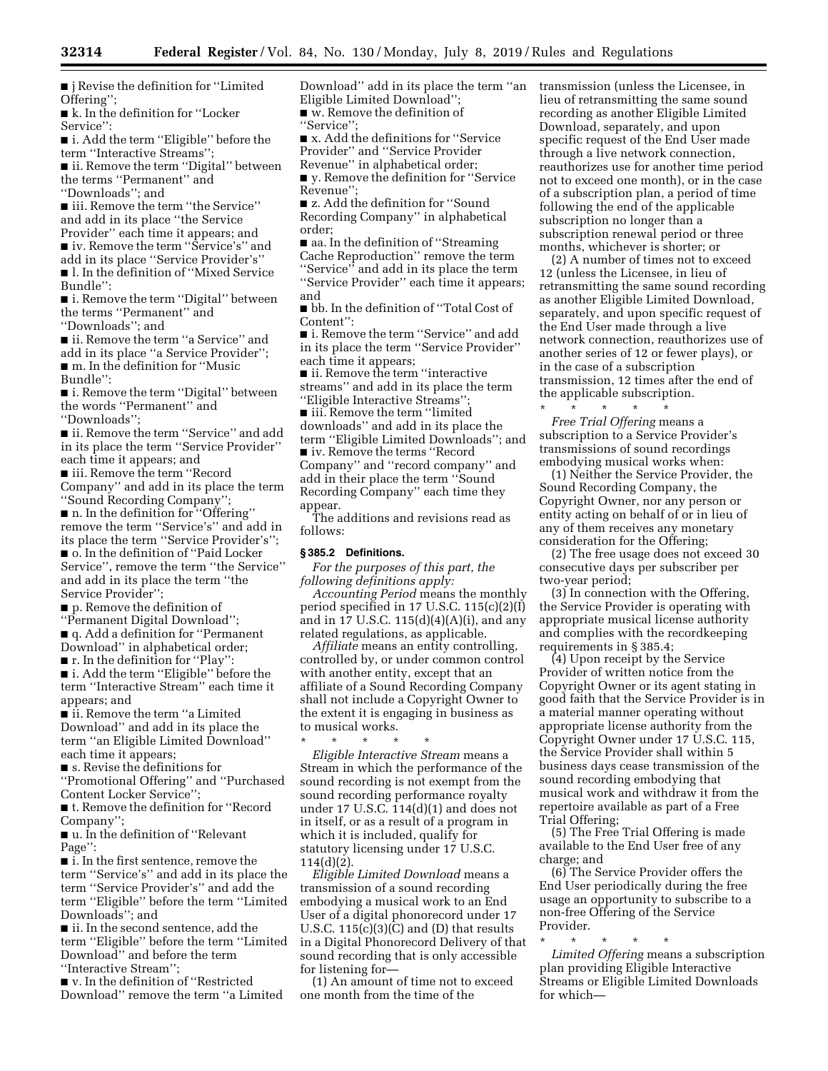■ j Revise the definition for "Limited Offering'';

■ k. In the definition for "Locker Service'':

■ i. Add the term "Eligible" before the term ''Interactive Streams'';

■ ii. Remove the term "Digital" between the terms ''Permanent'' and ''Downloads''; and

■ iii. Remove the term "the Service" and add in its place ''the Service Provider'' each time it appears; and

■ iv. Remove the term "Service's" and add in its place ''Service Provider's'' ■ l. In the definition of "Mixed Service

Bundle'': ■ i. Remove the term "Digital" between

the terms ''Permanent'' and ''Downloads''; and

■ ii. Remove the term "a Service" and add in its place ''a Service Provider''; ■ m. In the definition for "Music Bundle'':

■ i. Remove the term "Digital" between the words ''Permanent'' and ''Downloads'';

■ ii. Remove the term "Service" and add in its place the term ''Service Provider'' each time it appears; and

■ iii. Remove the term ''Record Company'' and add in its place the term ''Sound Recording Company'';

■ n. In the definition for "Offering" remove the term ''Service's'' and add in its place the term ''Service Provider's'';

■ o. In the definition of "Paid Locker Service'', remove the term ''the Service'' and add in its place the term ''the Service Provider'';

■ p. Remove the definition of

''Permanent Digital Download'';

■ q. Add a definition for ''Permanent Download'' in alphabetical order; ■ **r**. In the definition for "Play":

■ i. Add the term ''Eligible'' before the term ''Interactive Stream'' each time it

appears; and ■ ii. Remove the term "a Limited Download'' and add in its place the term ''an Eligible Limited Download'' each time it appears;

■ s. Revise the definitions for

''Promotional Offering'' and ''Purchased Content Locker Service'';

■ t. Remove the definition for "Record Company'';

■ u. In the definition of ''Relevant Page'':

■ i. In the first sentence, remove the term ''Service's'' and add in its place the term ''Service Provider's'' and add the term ''Eligible'' before the term ''Limited Downloads''; and

■ ii. In the second sentence, add the term ''Eligible'' before the term ''Limited Download'' and before the term ''Interactive Stream'';

■ v. In the definition of "Restricted Download'' remove the term ''a Limited Download'' add in its place the term ''an Eligible Limited Download''; ■ w. Remove the definition of ''Service'';

■ x. Add the definitions for "Service

Provider'' and ''Service Provider Revenue'' in alphabetical order;

■ y. Remove the definition for "Service Revenue'';

■ z. Add the definition for "Sound Recording Company'' in alphabetical order;

■ aa. In the definition of "Streaming" Cache Reproduction'' remove the term ''Service'' and add in its place the term ''Service Provider'' each time it appears; and

■ bb. In the definition of ''Total Cost of Content'':

■ i. Remove the term "Service" and add in its place the term ''Service Provider'' each time it appears;

■ ii. Remove the term "interactive streams'' and add in its place the term ''Eligible Interactive Streams'';

■ iii. Remove the term "limited downloads'' and add in its place the term ''Eligible Limited Downloads''; and ■ iv. Remove the terms "Record Company'' and ''record company'' and add in their place the term ''Sound Recording Company'' each time they appear.

The additions and revisions read as follows:

## **§ 385.2 Definitions.**

*For the purposes of this part, the following definitions apply:* 

*Accounting Period* means the monthly period specified in 17 U.S.C. 115(c)(2)(I) and in 17 U.S.C.  $115(d)(4)(A)(i)$ , and any related regulations, as applicable.

*Affiliate* means an entity controlling, controlled by, or under common control with another entity, except that an affiliate of a Sound Recording Company shall not include a Copyright Owner to the extent it is engaging in business as to musical works.

\* \* \* \* \* *Eligible Interactive Stream* means a Stream in which the performance of the sound recording is not exempt from the sound recording performance royalty under 17 U.S.C. 114(d)(1) and does not in itself, or as a result of a program in which it is included, qualify for statutory licensing under 17 U.S.C. 114(d)(2).

*Eligible Limited Download* means a transmission of a sound recording embodying a musical work to an End User of a digital phonorecord under 17 U.S.C.  $115(c)(3)(C)$  and (D) that results in a Digital Phonorecord Delivery of that sound recording that is only accessible for listening for—

(1) An amount of time not to exceed one month from the time of the

transmission (unless the Licensee, in lieu of retransmitting the same sound recording as another Eligible Limited Download, separately, and upon specific request of the End User made through a live network connection, reauthorizes use for another time period not to exceed one month), or in the case of a subscription plan, a period of time following the end of the applicable subscription no longer than a subscription renewal period or three months, whichever is shorter; or

(2) A number of times not to exceed 12 (unless the Licensee, in lieu of retransmitting the same sound recording as another Eligible Limited Download, separately, and upon specific request of the End User made through a live network connection, reauthorizes use of another series of 12 or fewer plays), or in the case of a subscription transmission, 12 times after the end of the applicable subscription.

\* \* \* \* \* *Free Trial Offering* means a subscription to a Service Provider's transmissions of sound recordings embodying musical works when:

(1) Neither the Service Provider, the Sound Recording Company, the Copyright Owner, nor any person or entity acting on behalf of or in lieu of any of them receives any monetary consideration for the Offering;

(2) The free usage does not exceed 30 consecutive days per subscriber per two-year period;

(3) In connection with the Offering, the Service Provider is operating with appropriate musical license authority and complies with the recordkeeping requirements in § 385.4;

(4) Upon receipt by the Service Provider of written notice from the Copyright Owner or its agent stating in good faith that the Service Provider is in a material manner operating without appropriate license authority from the Copyright Owner under 17 U.S.C. 115, the Service Provider shall within 5 business days cease transmission of the sound recording embodying that musical work and withdraw it from the repertoire available as part of a Free Trial Offering;

(5) The Free Trial Offering is made available to the End User free of any charge; and

(6) The Service Provider offers the End User periodically during the free usage an opportunity to subscribe to a non-free Offering of the Service Provider.

\* \* \* \* \* *Limited Offering* means a subscription plan providing Eligible Interactive Streams or Eligible Limited Downloads for which—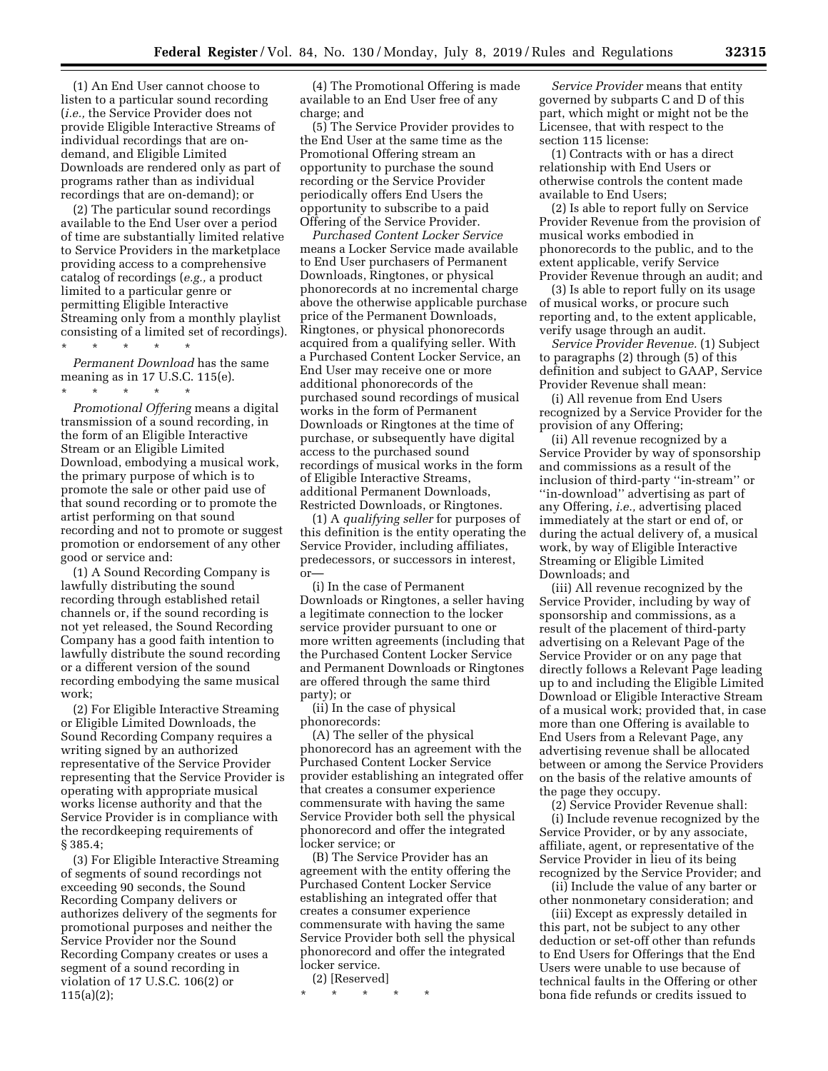(1) An End User cannot choose to listen to a particular sound recording (*i.e.,* the Service Provider does not provide Eligible Interactive Streams of individual recordings that are ondemand, and Eligible Limited Downloads are rendered only as part of programs rather than as individual recordings that are on-demand); or

(2) The particular sound recordings available to the End User over a period of time are substantially limited relative to Service Providers in the marketplace providing access to a comprehensive catalog of recordings (*e.g.,* a product limited to a particular genre or permitting Eligible Interactive Streaming only from a monthly playlist consisting of a limited set of recordings). \* \* \* \* \*

*Permanent Download* has the same meaning as in 17 U.S.C. 115(e).

*Promotional Offering* means a digital transmission of a sound recording, in the form of an Eligible Interactive Stream or an Eligible Limited Download, embodying a musical work, the primary purpose of which is to promote the sale or other paid use of that sound recording or to promote the artist performing on that sound recording and not to promote or suggest promotion or endorsement of any other good or service and:

(1) A Sound Recording Company is lawfully distributing the sound recording through established retail channels or, if the sound recording is not yet released, the Sound Recording Company has a good faith intention to lawfully distribute the sound recording or a different version of the sound recording embodying the same musical work;

(2) For Eligible Interactive Streaming or Eligible Limited Downloads, the Sound Recording Company requires a writing signed by an authorized representative of the Service Provider representing that the Service Provider is operating with appropriate musical works license authority and that the Service Provider is in compliance with the recordkeeping requirements of § 385.4;

(3) For Eligible Interactive Streaming of segments of sound recordings not exceeding 90 seconds, the Sound Recording Company delivers or authorizes delivery of the segments for promotional purposes and neither the Service Provider nor the Sound Recording Company creates or uses a segment of a sound recording in violation of 17 U.S.C. 106(2) or 115(a)(2);

(4) The Promotional Offering is made available to an End User free of any charge; and

(5) The Service Provider provides to the End User at the same time as the Promotional Offering stream an opportunity to purchase the sound recording or the Service Provider periodically offers End Users the opportunity to subscribe to a paid Offering of the Service Provider.

*Purchased Content Locker Service*  means a Locker Service made available to End User purchasers of Permanent Downloads, Ringtones, or physical phonorecords at no incremental charge above the otherwise applicable purchase price of the Permanent Downloads, Ringtones, or physical phonorecords acquired from a qualifying seller. With a Purchased Content Locker Service, an End User may receive one or more additional phonorecords of the purchased sound recordings of musical works in the form of Permanent Downloads or Ringtones at the time of purchase, or subsequently have digital access to the purchased sound recordings of musical works in the form of Eligible Interactive Streams, additional Permanent Downloads, Restricted Downloads, or Ringtones.

(1) A *qualifying seller* for purposes of this definition is the entity operating the Service Provider, including affiliates, predecessors, or successors in interest, or—

(i) In the case of Permanent Downloads or Ringtones, a seller having a legitimate connection to the locker service provider pursuant to one or more written agreements (including that the Purchased Content Locker Service and Permanent Downloads or Ringtones are offered through the same third party); or

(ii) In the case of physical phonorecords:

(A) The seller of the physical phonorecord has an agreement with the Purchased Content Locker Service provider establishing an integrated offer that creates a consumer experience commensurate with having the same Service Provider both sell the physical phonorecord and offer the integrated locker service; or

(B) The Service Provider has an agreement with the entity offering the Purchased Content Locker Service establishing an integrated offer that creates a consumer experience commensurate with having the same Service Provider both sell the physical phonorecord and offer the integrated locker service.

(2) [Reserved]

\* \* \* \* \*

*Service Provider* means that entity governed by subparts C and D of this part, which might or might not be the Licensee, that with respect to the section 115 license:

(1) Contracts with or has a direct relationship with End Users or otherwise controls the content made available to End Users;

(2) Is able to report fully on Service Provider Revenue from the provision of musical works embodied in phonorecords to the public, and to the extent applicable, verify Service Provider Revenue through an audit; and

(3) Is able to report fully on its usage of musical works, or procure such reporting and, to the extent applicable, verify usage through an audit.

*Service Provider Revenue.* (1) Subject to paragraphs (2) through (5) of this definition and subject to GAAP, Service Provider Revenue shall mean:

(i) All revenue from End Users recognized by a Service Provider for the provision of any Offering;

(ii) All revenue recognized by a Service Provider by way of sponsorship and commissions as a result of the inclusion of third-party ''in-stream'' or ''in-download'' advertising as part of any Offering, *i.e.,* advertising placed immediately at the start or end of, or during the actual delivery of, a musical work, by way of Eligible Interactive Streaming or Eligible Limited Downloads; and

(iii) All revenue recognized by the Service Provider, including by way of sponsorship and commissions, as a result of the placement of third-party advertising on a Relevant Page of the Service Provider or on any page that directly follows a Relevant Page leading up to and including the Eligible Limited Download or Eligible Interactive Stream of a musical work; provided that, in case more than one Offering is available to End Users from a Relevant Page, any advertising revenue shall be allocated between or among the Service Providers on the basis of the relative amounts of the page they occupy.

(2) Service Provider Revenue shall: (i) Include revenue recognized by the Service Provider, or by any associate, affiliate, agent, or representative of the Service Provider in lieu of its being recognized by the Service Provider; and

(ii) Include the value of any barter or other nonmonetary consideration; and

(iii) Except as expressly detailed in this part, not be subject to any other deduction or set-off other than refunds to End Users for Offerings that the End Users were unable to use because of technical faults in the Offering or other bona fide refunds or credits issued to

<sup>\* \* \* \* \*</sup>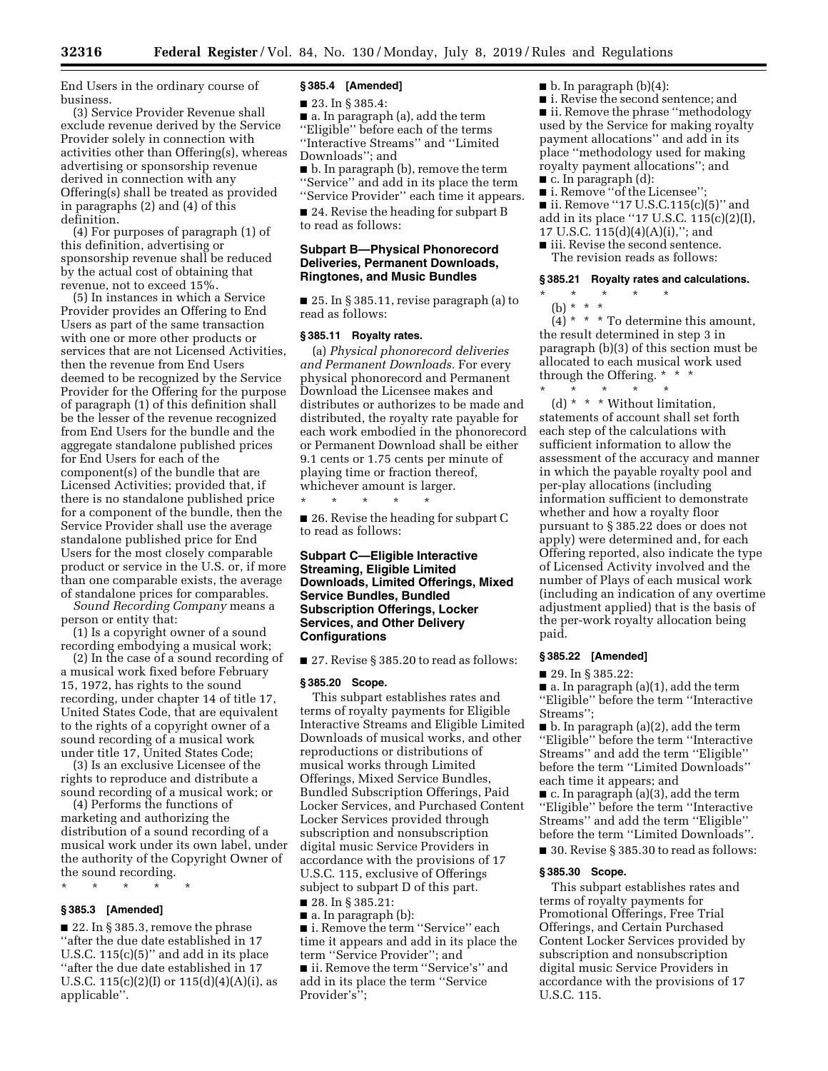End Users in the ordinary course of business.

(3) Service Provider Revenue shall exclude revenue derived by the Service Provider solely in connection with activities other than Offering(s), whereas advertising or sponsorship revenue derived in connection with any Offering(s) shall be treated as provided in paragraphs (2) and (4) of this definition.

(4) For purposes of paragraph (1) of this definition, advertising or sponsorship revenue shall be reduced by the actual cost of obtaining that revenue, not to exceed 15%.

(5) In instances in which a Service Provider provides an Offering to End Users as part of the same transaction with one or more other products or services that are not Licensed Activities, then the revenue from End Users deemed to be recognized by the Service Provider for the Offering for the purpose of paragraph (1) of this definition shall be the lesser of the revenue recognized from End Users for the bundle and the aggregate standalone published prices for End Users for each of the component(s) of the bundle that are Licensed Activities; provided that, if there is no standalone published price for a component of the bundle, then the Service Provider shall use the average standalone published price for End Users for the most closely comparable product or service in the U.S. or, if more than one comparable exists, the average of standalone prices for comparables.

*Sound Recording Company* means a person or entity that:

(1) Is a copyright owner of a sound recording embodying a musical work;

(2) In the case of a sound recording of a musical work fixed before February 15, 1972, has rights to the sound recording, under chapter 14 of title 17, United States Code, that are equivalent to the rights of a copyright owner of a sound recording of a musical work under title 17, United States Code;

(3) Is an exclusive Licensee of the rights to reproduce and distribute a sound recording of a musical work; or

(4) Performs the functions of marketing and authorizing the distribution of a sound recording of a musical work under its own label, under the authority of the Copyright Owner of the sound recording.

\* \* \* \* \*

## **§ 385.3 [Amended]**

■ 22. In § 385.3, remove the phrase ''after the due date established in 17 U.S.C.  $115(c)(5)$ " and add in its place ''after the due date established in 17 U.S.C.  $115(c)(2)(I)$  or  $115(d)(4)(A)(i)$ , as applicable''.

## **§ 385.4 [Amended]**

■ 23. In § 385.4:

■ a. In paragraph (a), add the term ''Eligible'' before each of the terms ''Interactive Streams'' and ''Limited Downloads''; and

■ b. In paragraph (b), remove the term ''Service'' and add in its place the term ''Service Provider'' each time it appears.

■ 24. Revise the heading for subpart B to read as follows:

## **Subpart B—Physical Phonorecord Deliveries, Permanent Downloads, Ringtones, and Music Bundles**

 $\blacksquare$  25. In § 385.11, revise paragraph (a) to read as follows:

### **§ 385.11 Royalty rates.**

(a) *Physical phonorecord deliveries and Permanent Downloads.* For every physical phonorecord and Permanent Download the Licensee makes and distributes or authorizes to be made and distributed, the royalty rate payable for each work embodied in the phonorecord or Permanent Download shall be either 9.1 cents or 1.75 cents per minute of playing time or fraction thereof, whichever amount is larger.

\* \* \* \* \* ■ 26. Revise the heading for subpart C to read as follows:

## **Subpart C—Eligible Interactive Streaming, Eligible Limited Downloads, Limited Offerings, Mixed Service Bundles, Bundled Subscription Offerings, Locker Services, and Other Delivery Configurations**

■ 27. Revise § 385.20 to read as follows:

### **§ 385.20 Scope.**

This subpart establishes rates and terms of royalty payments for Eligible Interactive Streams and Eligible Limited Downloads of musical works, and other reproductions or distributions of musical works through Limited Offerings, Mixed Service Bundles, Bundled Subscription Offerings, Paid Locker Services, and Purchased Content Locker Services provided through subscription and nonsubscription digital music Service Providers in accordance with the provisions of 17 U.S.C. 115, exclusive of Offerings subject to subpart D of this part.

■ 28. In § 385.21:

■ a. In paragraph (b): ■ i. Remove the term "Service" each time it appears and add in its place the term ''Service Provider''; and

■ ii. Remove the term "Service's" and add in its place the term ''Service Provider's'';

 $\blacksquare$  b. In paragraph (b)(4):

■ i. Revise the second sentence; and ■ ii. Remove the phrase "methodology used by the Service for making royalty payment allocations'' and add in its place ''methodology used for making royalty payment allocations''; and

■ c. In paragraph (d):

- i. Remove "of the Licensee";
- ii. Remove "17 U.S.C.115(c)(5)" and add in its place ''17 U.S.C. 115(c)(2)(I), 17 U.S.C. 115(d)(4)(A)(i),''; and
- iii. Revise the second sentence. The revision reads as follows:

### **§ 385.21 Royalty rates and calculations.**

- \* \* \* \* \*
- (b) \* \* \*

 $(4)$  \* \* \* To determine this amount, the result determined in step 3 in paragraph (b)(3) of this section must be allocated to each musical work used through the Offering. \* \* \*

\* \* \* \* \* (d) \* \* \* Without limitation, statements of account shall set forth each step of the calculations with sufficient information to allow the assessment of the accuracy and manner in which the payable royalty pool and per-play allocations (including information sufficient to demonstrate whether and how a royalty floor pursuant to § 385.22 does or does not apply) were determined and, for each Offering reported, also indicate the type of Licensed Activity involved and the number of Plays of each musical work (including an indication of any overtime adjustment applied) that is the basis of the per-work royalty allocation being paid.

## **§ 385.22 [Amended]**

■ 29. In § 385.22:

 $\blacksquare$  a. In paragraph (a)(1), add the term ''Eligible'' before the term ''Interactive Streams'';

■ b. In paragraph (a)(2), add the term ''Eligible'' before the term ''Interactive Streams'' and add the term ''Eligible'' before the term ''Limited Downloads'' each time it appears; and

■ c. In paragraph (a)(3), add the term ''Eligible'' before the term ''Interactive Streams'' and add the term ''Eligible'' before the term ''Limited Downloads''. ■ 30. Revise § 385.30 to read as follows:

### **§ 385.30 Scope.**

This subpart establishes rates and terms of royalty payments for Promotional Offerings, Free Trial Offerings, and Certain Purchased Content Locker Services provided by subscription and nonsubscription digital music Service Providers in accordance with the provisions of 17 U.S.C. 115.